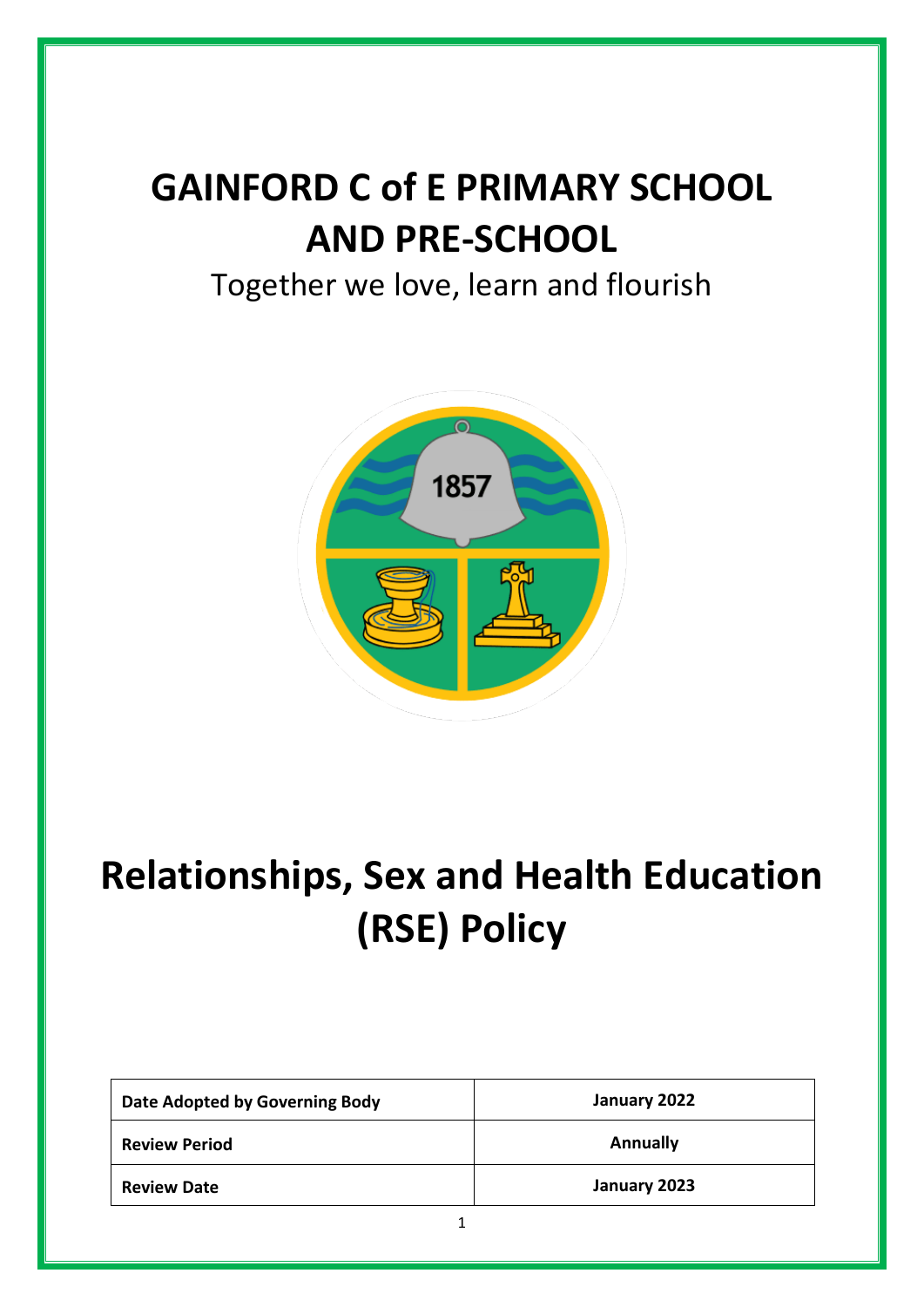# **GAINFORD C of E PRIMARY SCHOOL AND PRE-SCHOOL**

### Together we love, learn and flourish



# **Relationships, Sex and Health Education (RSE) Policy**

| Date Adopted by Governing Body | January 2022    |
|--------------------------------|-----------------|
| <b>Review Period</b>           | <b>Annually</b> |
| <b>Review Date</b>             | January 2023    |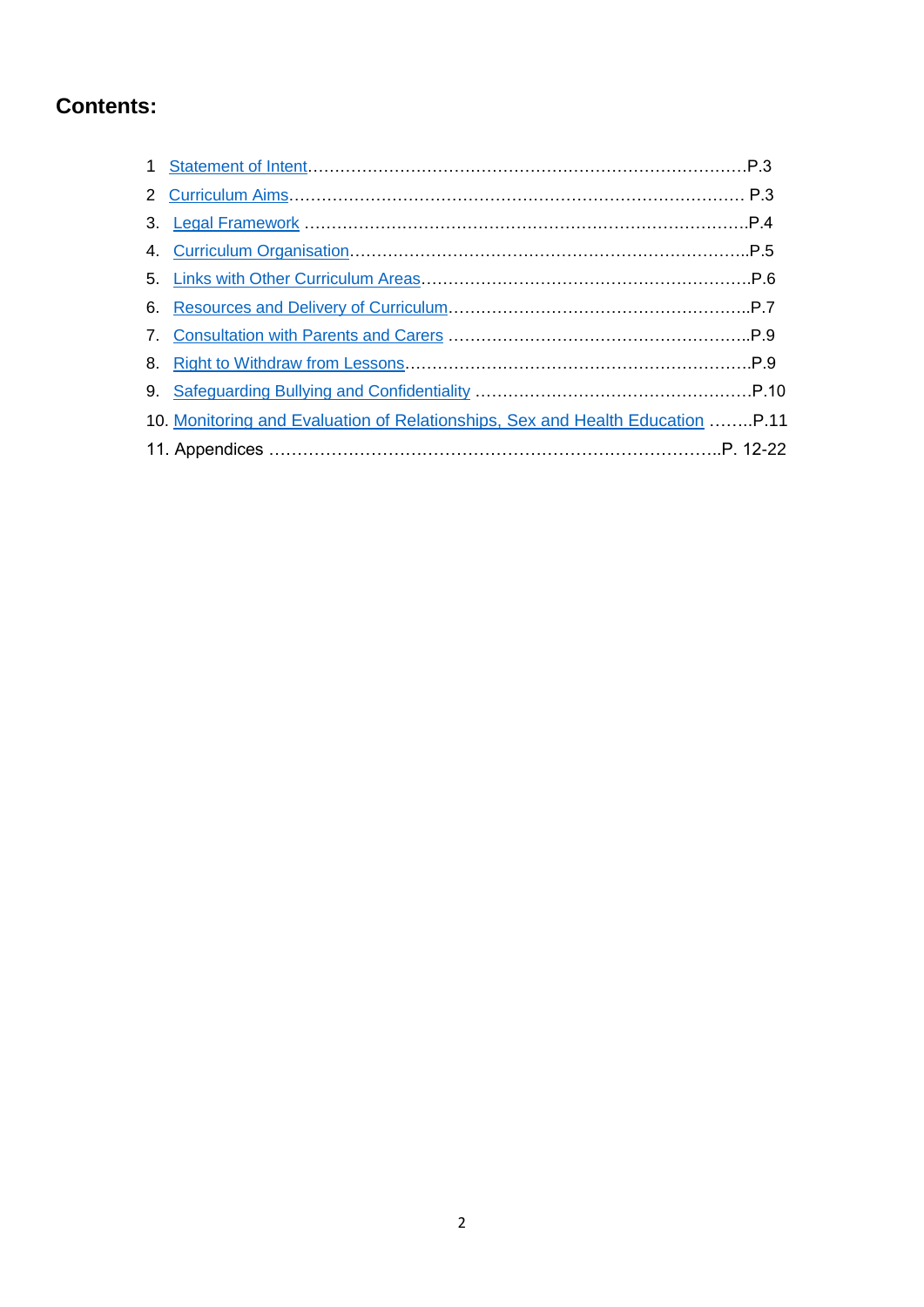### **Contents:**

| 10. Monitoring and Evaluation of Relationships, Sex and Health Education  P.11 |  |
|--------------------------------------------------------------------------------|--|
|                                                                                |  |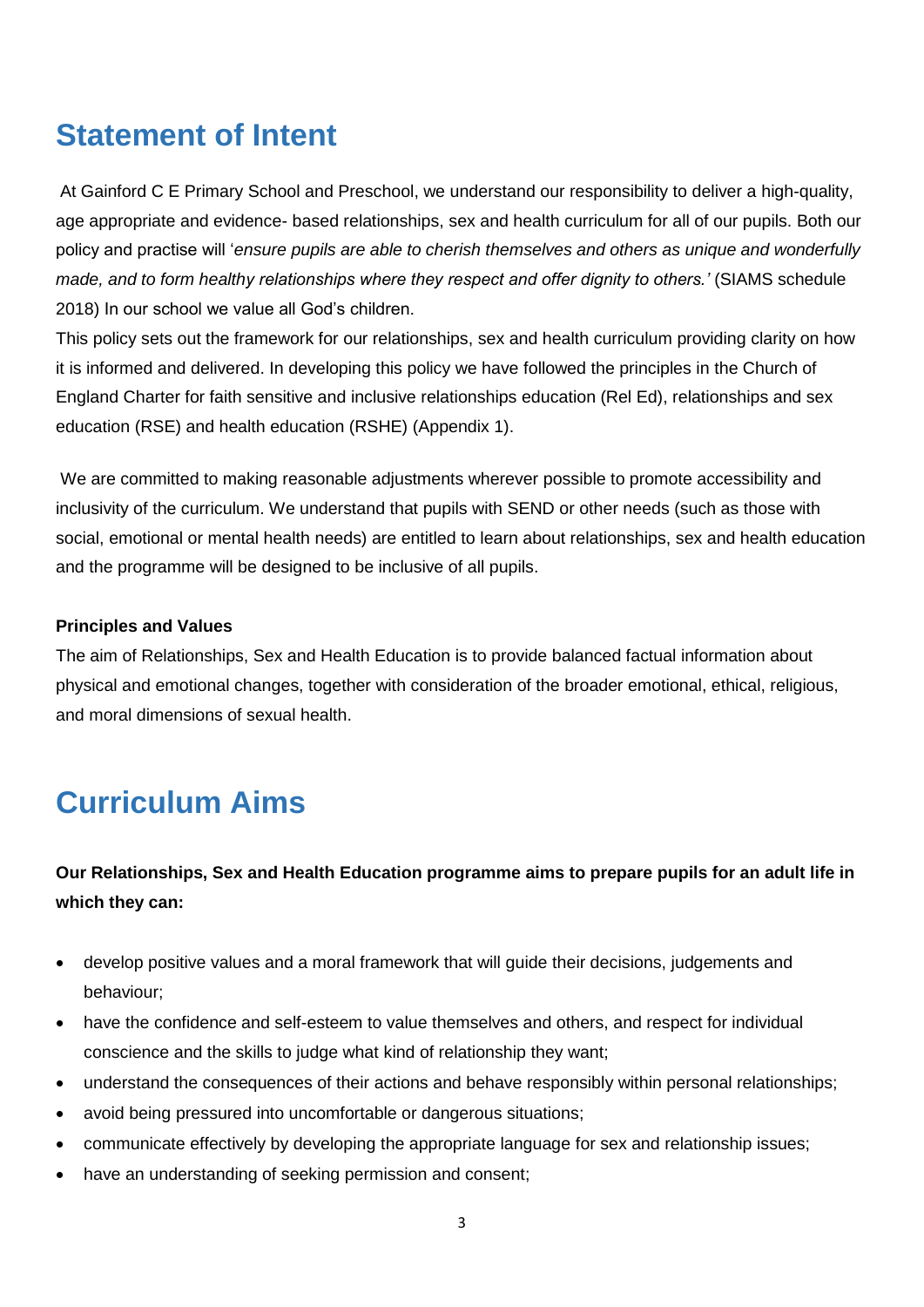### <span id="page-2-0"></span>**Statement of Intent**

At Gainford C E Primary School and Preschool, we understand our responsibility to deliver a high-quality, age appropriate and evidence- based relationships, sex and health curriculum for all of our pupils. Both our policy and practise will '*ensure pupils are able to cherish themselves and others as unique and wonderfully made, and to form healthy relationships where they respect and offer dignity to others.'* (SIAMS schedule 2018) In our school we value all God's children.

This policy sets out the framework for our relationships, sex and health curriculum providing clarity on how it is informed and delivered. In developing this policy we have followed the principles in the Church of England Charter for faith sensitive and inclusive relationships education (Rel Ed), relationships and sex education (RSE) and health education (RSHE) (Appendix 1).

We are committed to making reasonable adjustments wherever possible to promote accessibility and inclusivity of the curriculum. We understand that pupils with SEND or other needs (such as those with social, emotional or mental health needs) are entitled to learn about relationships, sex and health education and the programme will be designed to be inclusive of all pupils.

#### **Principles and Values**

The aim of Relationships, Sex and Health Education is to provide balanced factual information about physical and emotional changes, together with consideration of the broader emotional, ethical, religious, and moral dimensions of sexual health.

### <span id="page-2-1"></span>**Curriculum Aims**

**Our Relationships, Sex and Health Education programme aims to prepare pupils for an adult life in which they can:** 

- develop positive values and a moral framework that will guide their decisions, judgements and behaviour;
- have the confidence and self-esteem to value themselves and others, and respect for individual conscience and the skills to judge what kind of relationship they want;
- understand the consequences of their actions and behave responsibly within personal relationships;
- avoid being pressured into uncomfortable or dangerous situations;
- communicate effectively by developing the appropriate language for sex and relationship issues;
- have an understanding of seeking permission and consent;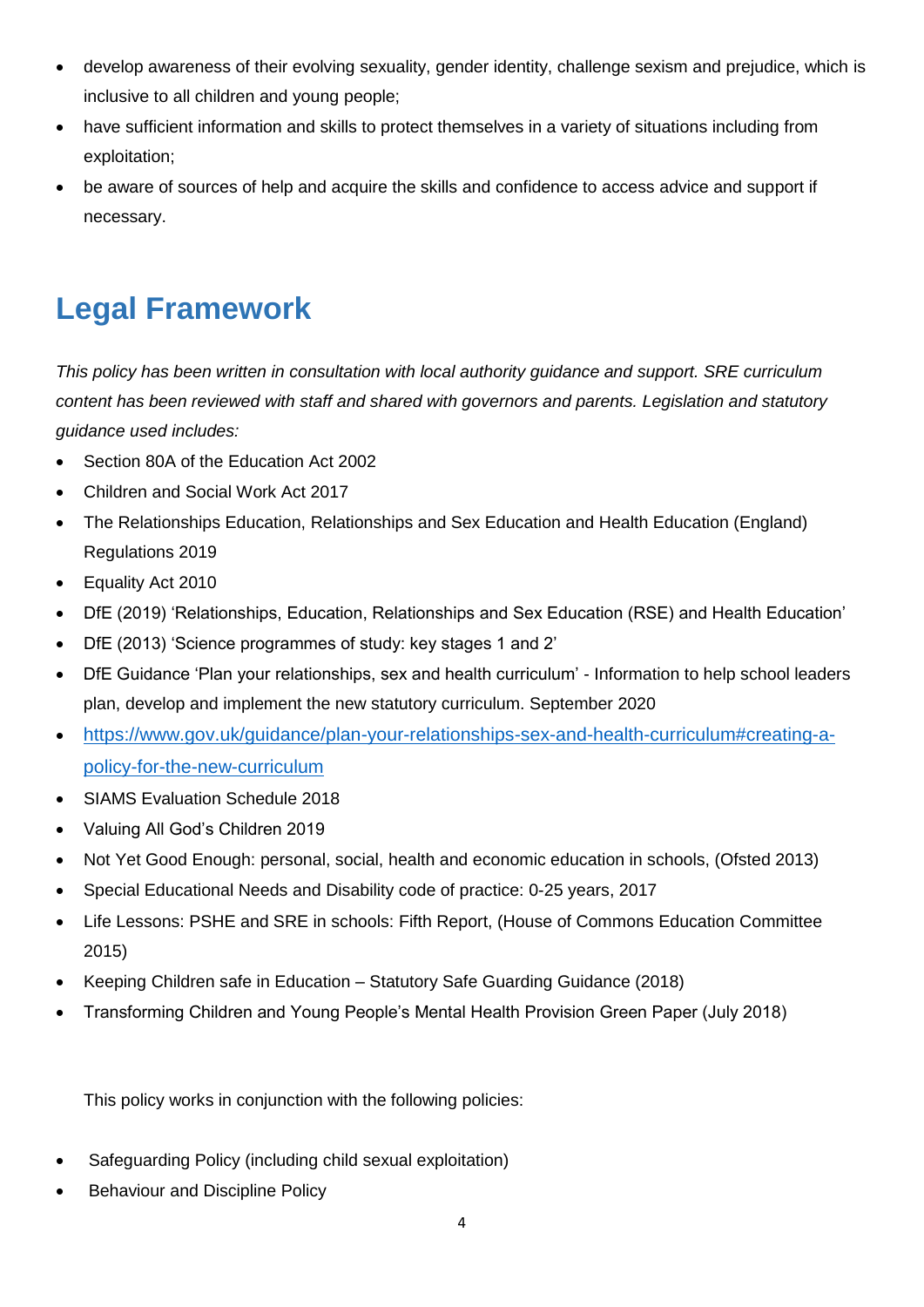- develop awareness of their evolving sexuality, gender identity, challenge sexism and prejudice, which is inclusive to all children and young people;
- have sufficient information and skills to protect themselves in a variety of situations including from exploitation;
- be aware of sources of help and acquire the skills and confidence to access advice and support if necessary.

### <span id="page-3-0"></span>**Legal Framework**

*This policy has been written in consultation with local authority guidance and support. SRE curriculum content has been reviewed with staff and shared with governors and parents. Legislation and statutory guidance used includes:* 

- Section 80A of the Education Act 2002
- Children and Social Work Act 2017
- The Relationships Education, Relationships and Sex Education and Health Education (England) Regulations 2019
- Equality Act 2010
- DfE (2019) 'Relationships, Education, Relationships and Sex Education (RSE) and Health Education'
- DfE (2013) 'Science programmes of study: key stages 1 and 2'
- DfE Guidance 'Plan your relationships, sex and health curriculum' Information to help school leaders plan, develop and implement the new statutory curriculum. September 2020
- [https://www.gov.uk/guidance/plan-your-relationships-sex-and-health-curriculum#creating-a](https://www.gov.uk/guidance/plan-your-relationships-sex-and-health-curriculum#creating-a-policy-for-the-new-curriculum)[policy-for-the-new-curriculum](https://www.gov.uk/guidance/plan-your-relationships-sex-and-health-curriculum#creating-a-policy-for-the-new-curriculum)
- SIAMS Evaluation Schedule 2018
- Valuing All God's Children 2019
- Not Yet Good Enough: personal, social, health and economic education in schools, (Ofsted 2013)
- Special Educational Needs and Disability code of practice: 0-25 years, 2017
- Life Lessons: PSHE and SRE in schools: Fifth Report, (House of Commons Education Committee 2015)
- Keeping Children safe in Education Statutory Safe Guarding Guidance (2018)
- Transforming Children and Young People's Mental Health Provision Green Paper (July 2018)

This policy works in conjunction with the following policies:

- Safeguarding Policy (including child sexual exploitation)
- Behaviour and Discipline Policy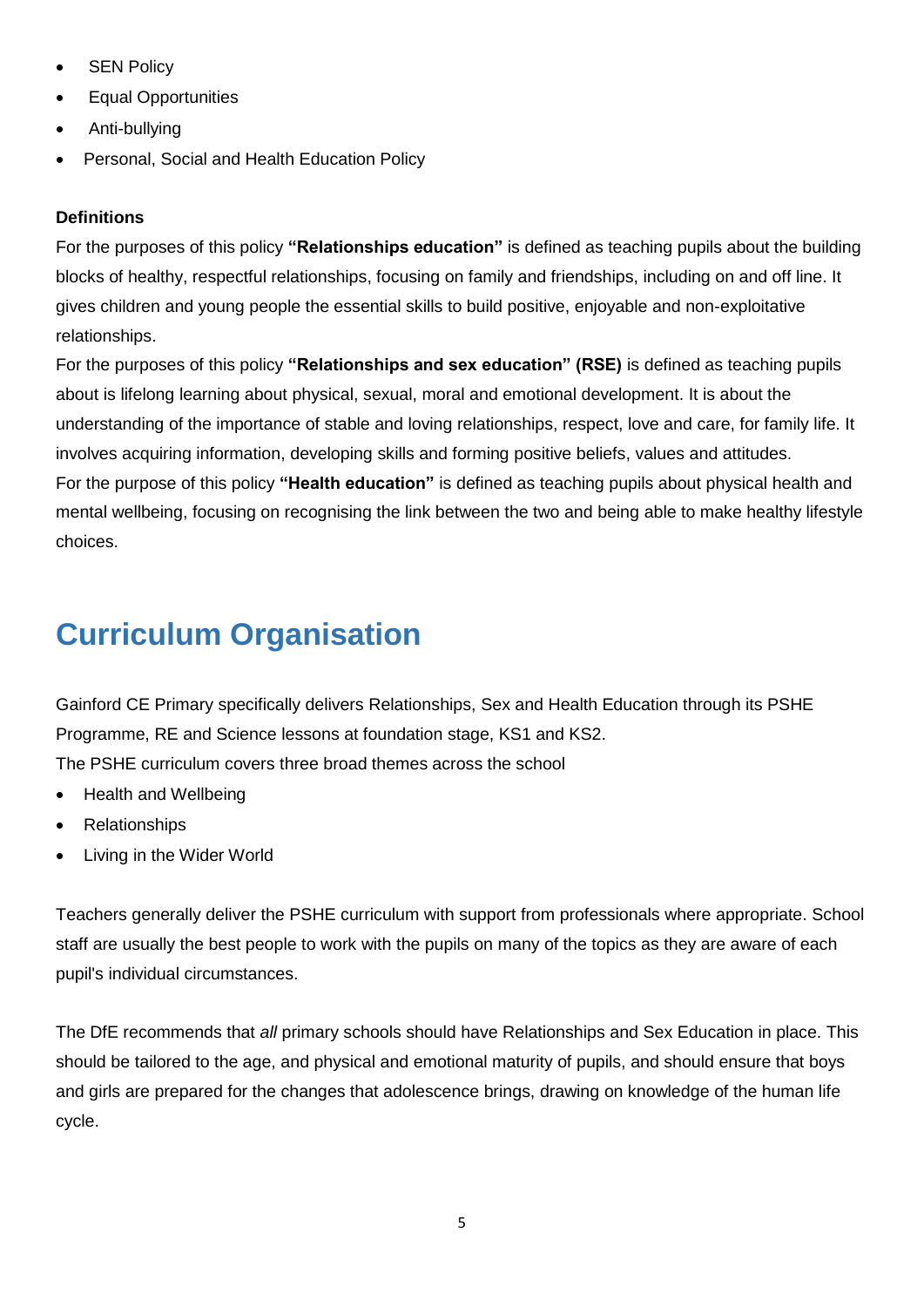- **SEN Policy**
- Equal Opportunities
- Anti-bullying
- Personal, Social and Health Education Policy

#### **Definitions**

For the purposes of this policy **"Relationships education"** is defined as teaching pupils about the building blocks of healthy, respectful relationships, focusing on family and friendships, including on and off line. It gives children and young people the essential skills to build positive, enjoyable and non-exploitative relationships.

For the purposes of this policy **"Relationships and sex education" (RSE)** is defined as teaching pupils about is lifelong learning about physical, sexual, moral and emotional development. It is about the understanding of the importance of stable and loving relationships, respect, love and care, for family life. It involves acquiring information, developing skills and forming positive beliefs, values and attitudes. For the purpose of this policy **"Health education"** is defined as teaching pupils about physical health and mental wellbeing, focusing on recognising the link between the two and being able to make healthy lifestyle choices.

## <span id="page-4-0"></span>**Curriculum Organisation**

Gainford CE Primary specifically delivers Relationships, Sex and Health Education through its PSHE Programme, RE and Science lessons at foundation stage, KS1 and KS2. The PSHE curriculum covers three broad themes across the school

- Health and Wellbeing
- Relationships
- Living in the Wider World

Teachers generally deliver the PSHE curriculum with support from professionals where appropriate. School staff are usually the best people to work with the pupils on many of the topics as they are aware of each pupil's individual circumstances.

The DfE recommends that *all* primary schools should have Relationships and Sex Education in place. This should be tailored to the age, and physical and emotional maturity of pupils, and should ensure that boys and girls are prepared for the changes that adolescence brings, drawing on knowledge of the human life cycle.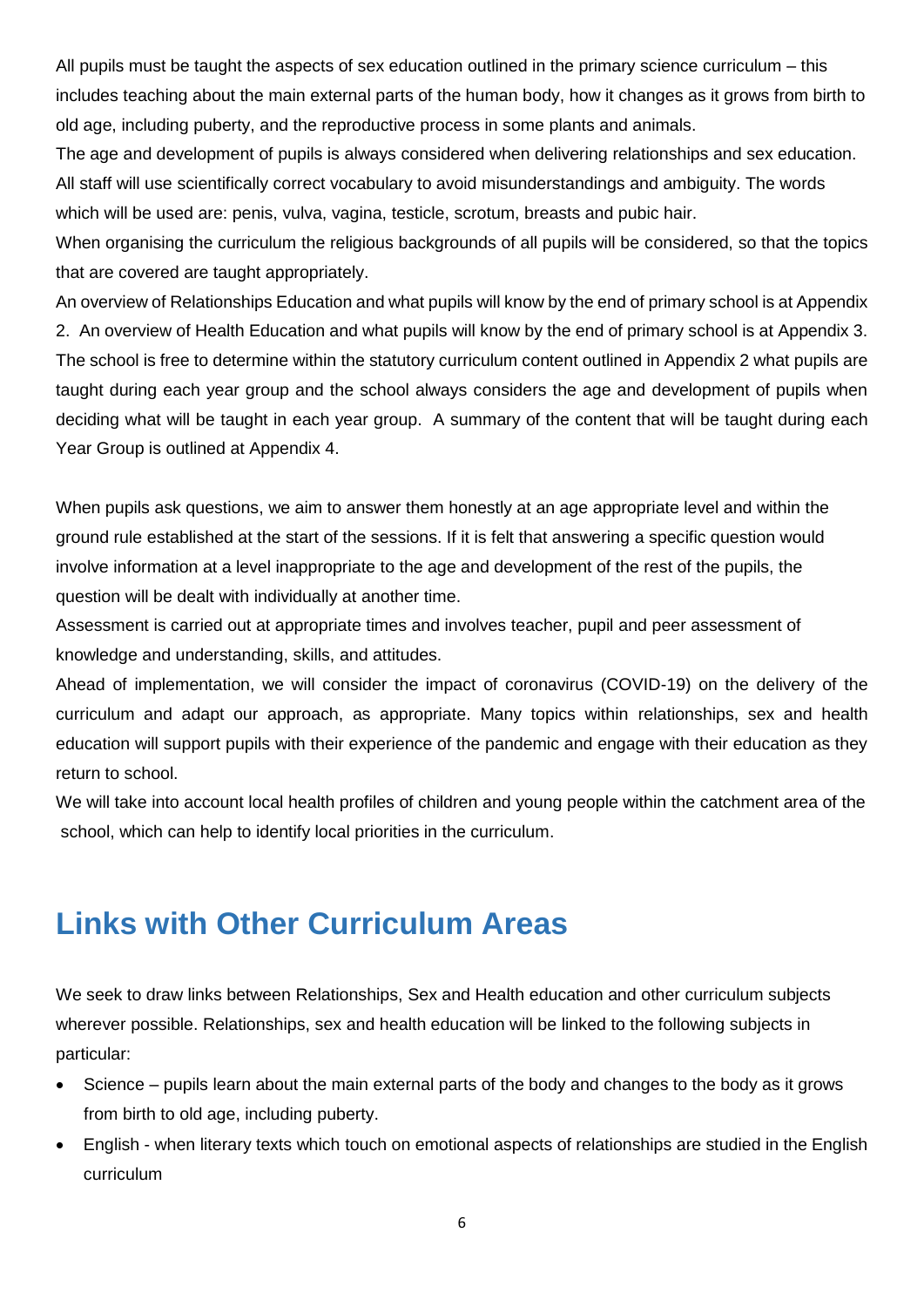All pupils must be taught the aspects of sex education outlined in the primary science curriculum – this includes teaching about the main external parts of the human body, how it changes as it grows from birth to old age, including puberty, and the reproductive process in some plants and animals.

The age and development of pupils is always considered when delivering relationships and sex education. All staff will use scientifically correct vocabulary to avoid misunderstandings and ambiguity. The words which will be used are: penis, vulva, vagina, testicle, scrotum, breasts and pubic hair.

When organising the curriculum the religious backgrounds of all pupils will be considered, so that the topics that are covered are taught appropriately.

An overview of Relationships Education and what pupils will know by the end of primary school is at Appendix 2. An overview of Health Education and what pupils will know by the end of primary school is at Appendix 3. The school is free to determine within the statutory curriculum content outlined in Appendix 2 what pupils are taught during each year group and the school always considers the age and development of pupils when deciding what will be taught in each year group. A summary of the content that will be taught during each Year Group is outlined at Appendix 4.

When pupils ask questions, we aim to answer them honestly at an age appropriate level and within the ground rule established at the start of the sessions. If it is felt that answering a specific question would involve information at a level inappropriate to the age and development of the rest of the pupils, the question will be dealt with individually at another time.

Assessment is carried out at appropriate times and involves teacher, pupil and peer assessment of knowledge and understanding, skills, and attitudes.

Ahead of implementation, we will consider the impact of coronavirus (COVID-19) on the delivery of the curriculum and adapt our approach, as appropriate. Many topics within relationships, sex and health education will support pupils with their experience of the pandemic and engage with their education as they return to school.

We will take into account local health profiles of children and young people within the catchment area of the school, which can help to identify local priorities in the curriculum.

### <span id="page-5-0"></span>**Links with Other Curriculum Areas**

We seek to draw links between Relationships, Sex and Health education and other curriculum subjects wherever possible. Relationships, sex and health education will be linked to the following subjects in particular:

- Science pupils learn about the main external parts of the body and changes to the body as it grows from birth to old age, including puberty.
- English when literary texts which touch on emotional aspects of relationships are studied in the English curriculum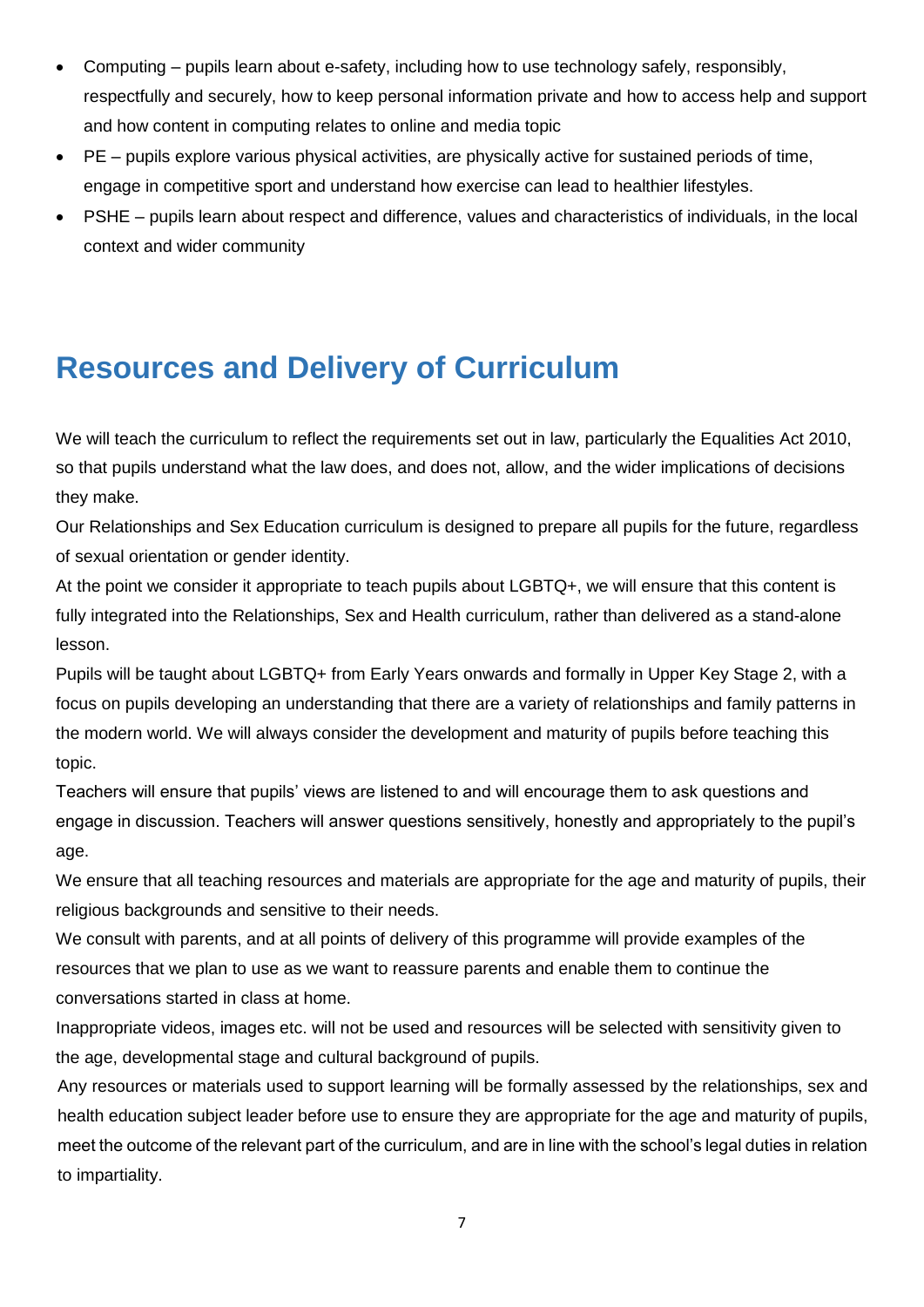- Computing pupils learn about e-safety, including how to use technology safely, responsibly, respectfully and securely, how to keep personal information private and how to access help and support and how content in computing relates to online and media topic
- PE pupils explore various physical activities, are physically active for sustained periods of time, engage in competitive sport and understand how exercise can lead to healthier lifestyles.
- PSHE pupils learn about respect and difference, values and characteristics of individuals, in the local context and wider community

### <span id="page-6-0"></span>**Resources and Delivery of Curriculum**

We will teach the curriculum to reflect the requirements set out in law, particularly the Equalities Act 2010, so that pupils understand what the law does, and does not, allow, and the wider implications of decisions they make.

Our Relationships and Sex Education curriculum is designed to prepare all pupils for the future, regardless of sexual orientation or gender identity.

At the point we consider it appropriate to teach pupils about LGBTQ+, we will ensure that this content is fully integrated into the Relationships, Sex and Health curriculum, rather than delivered as a stand-alone lesson.

Pupils will be taught about LGBTQ+ from Early Years onwards and formally in Upper Key Stage 2, with a focus on pupils developing an understanding that there are a variety of relationships and family patterns in the modern world. We will always consider the development and maturity of pupils before teaching this topic.

Teachers will ensure that pupils' views are listened to and will encourage them to ask questions and engage in discussion. Teachers will answer questions sensitively, honestly and appropriately to the pupil's age.

We ensure that all teaching resources and materials are appropriate for the age and maturity of pupils, their religious backgrounds and sensitive to their needs.

We consult with parents, and at all points of delivery of this programme will provide examples of the resources that we plan to use as we want to reassure parents and enable them to continue the conversations started in class at home.

Inappropriate videos, images etc. will not be used and resources will be selected with sensitivity given to the age, developmental stage and cultural background of pupils.

Any resources or materials used to support learning will be formally assessed by the relationships, sex and health education subject leader before use to ensure they are appropriate for the age and maturity of pupils, meet the outcome of the relevant part of the curriculum, and are in line with the school's legal duties in relation to impartiality.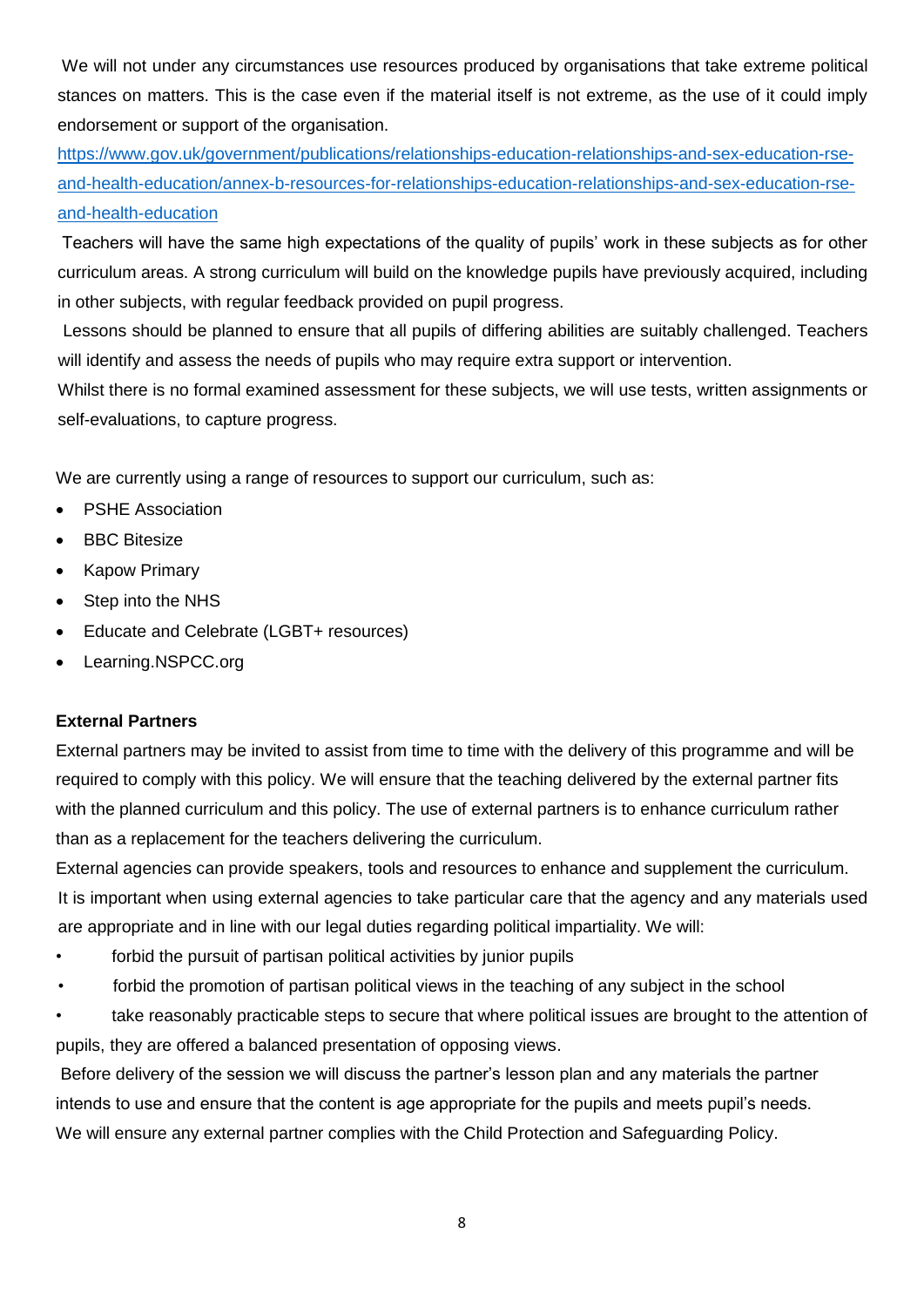We will not under any circumstances use resources produced by organisations that take extreme political stances on matters. This is the case even if the material itself is not extreme, as the use of it could imply endorsement or support of the organisation.

[https://www.gov.uk/government/publications/relationships-education-relationships-and-sex-education-rse](https://www.gov.uk/government/publications/relationships-education-relationships-and-sex-education-rse-and-health-education/annex-b-resources-for-relationships-education-relationships-and-sex-education-rse-and-health-education)[and-health-education/annex-b-resources-for-relationships-education-relationships-and-sex-education-rse](https://www.gov.uk/government/publications/relationships-education-relationships-and-sex-education-rse-and-health-education/annex-b-resources-for-relationships-education-relationships-and-sex-education-rse-and-health-education)[and-health-education](https://www.gov.uk/government/publications/relationships-education-relationships-and-sex-education-rse-and-health-education/annex-b-resources-for-relationships-education-relationships-and-sex-education-rse-and-health-education)

Teachers will have the same high expectations of the quality of pupils' work in these subjects as for other curriculum areas. A strong curriculum will build on the knowledge pupils have previously acquired, including in other subjects, with regular feedback provided on pupil progress.

Lessons should be planned to ensure that all pupils of differing abilities are suitably challenged. Teachers will identify and assess the needs of pupils who may require extra support or intervention.

Whilst there is no formal examined assessment for these subjects, we will use tests, written assignments or self-evaluations, to capture progress.

We are currently using a range of resources to support our curriculum, such as:

- PSHE Association
- **BBC Bitesize**
- Kapow Primary
- Step into the NHS
- Educate and Celebrate (LGBT+ resources)
- Learning.NSPCC.org

#### **External Partners**

External partners may be invited to assist from time to time with the delivery of this programme and will be required to comply with this policy. We will ensure that the teaching delivered by the external partner fits with the planned curriculum and this policy. The use of external partners is to enhance curriculum rather than as a replacement for the teachers delivering the curriculum.

External agencies can provide speakers, tools and resources to enhance and supplement the curriculum. It is important when using external agencies to take particular care that the agency and any materials used are appropriate and in line with our legal duties regarding political impartiality. We will:

- forbid the pursuit of partisan political activities by junior pupils
- forbid the promotion of partisan political views in the teaching of any subject in the school

• take reasonably practicable steps to secure that where political issues are brought to the attention of pupils, they are offered a balanced presentation of opposing views.

Before delivery of the session we will discuss the partner's lesson plan and any materials the partner intends to use and ensure that the content is age appropriate for the pupils and meets pupil's needs. We will ensure any external partner complies with the Child Protection and Safeguarding Policy.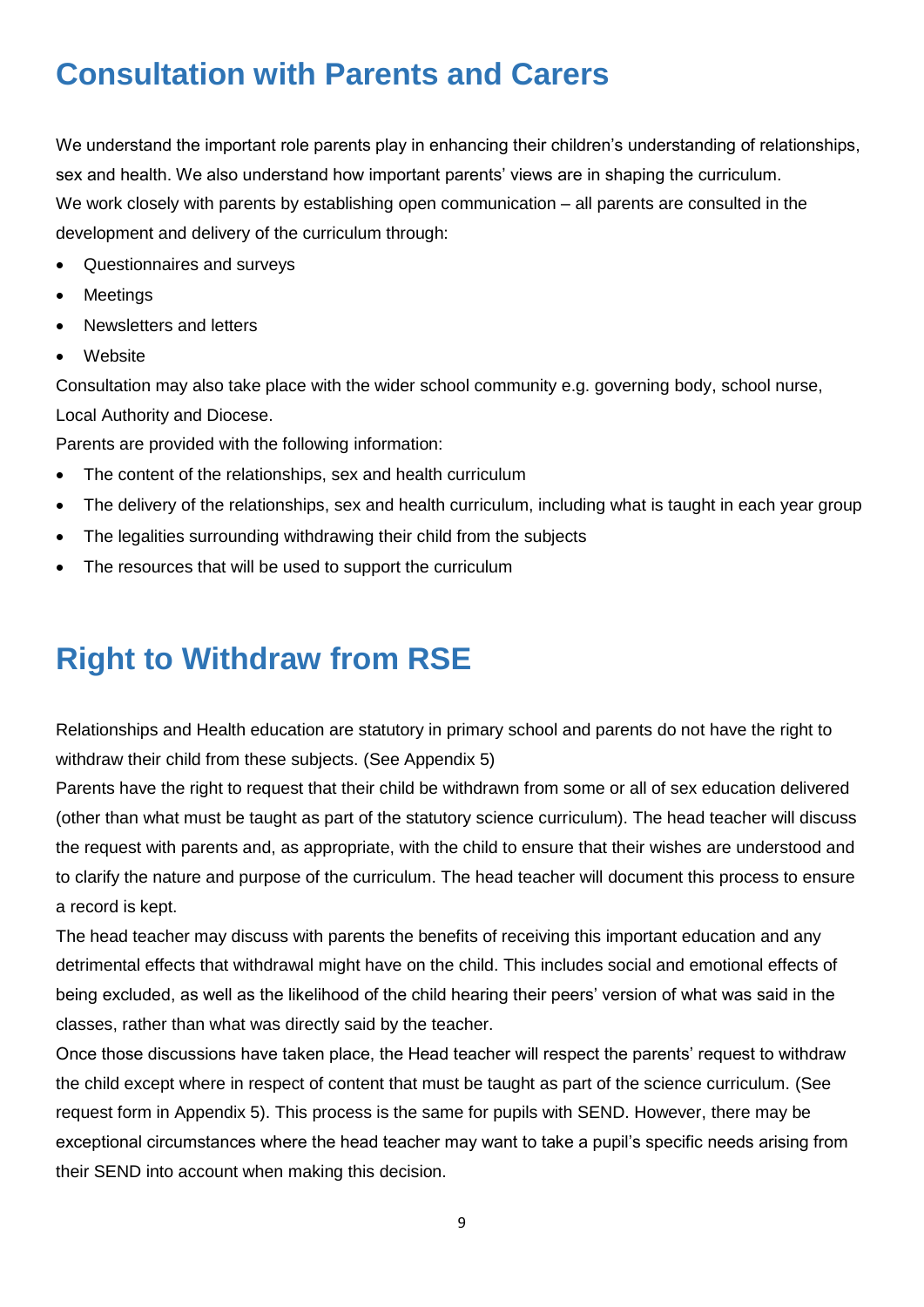## <span id="page-8-0"></span>**Consultation with Parents and Carers**

We understand the important role parents play in enhancing their children's understanding of relationships, sex and health. We also understand how important parents' views are in shaping the curriculum. We work closely with parents by establishing open communication – all parents are consulted in the development and delivery of the curriculum through:

- Questionnaires and surveys
- **Meetings**
- Newsletters and letters
- **Website**

Consultation may also take place with the wider school community e.g. governing body, school nurse, Local Authority and Diocese.

Parents are provided with the following information:

- The content of the relationships, sex and health curriculum
- The delivery of the relationships, sex and health curriculum, including what is taught in each year group
- The legalities surrounding withdrawing their child from the subjects
- The resources that will be used to support the curriculum

### <span id="page-8-1"></span>**Right to Withdraw from RSE**

Relationships and Health education are statutory in primary school and parents do not have the right to withdraw their child from these subjects. (See Appendix 5)

Parents have the right to request that their child be withdrawn from some or all of sex education delivered (other than what must be taught as part of the statutory science curriculum). The head teacher will discuss the request with parents and, as appropriate, with the child to ensure that their wishes are understood and to clarify the nature and purpose of the curriculum. The head teacher will document this process to ensure a record is kept.

The head teacher may discuss with parents the benefits of receiving this important education and any detrimental effects that withdrawal might have on the child. This includes social and emotional effects of being excluded, as well as the likelihood of the child hearing their peers' version of what was said in the classes, rather than what was directly said by the teacher.

Once those discussions have taken place, the Head teacher will respect the parents' request to withdraw the child except where in respect of content that must be taught as part of the science curriculum. (See request form in Appendix 5). This process is the same for pupils with SEND. However, there may be exceptional circumstances where the head teacher may want to take a pupil's specific needs arising from their SEND into account when making this decision.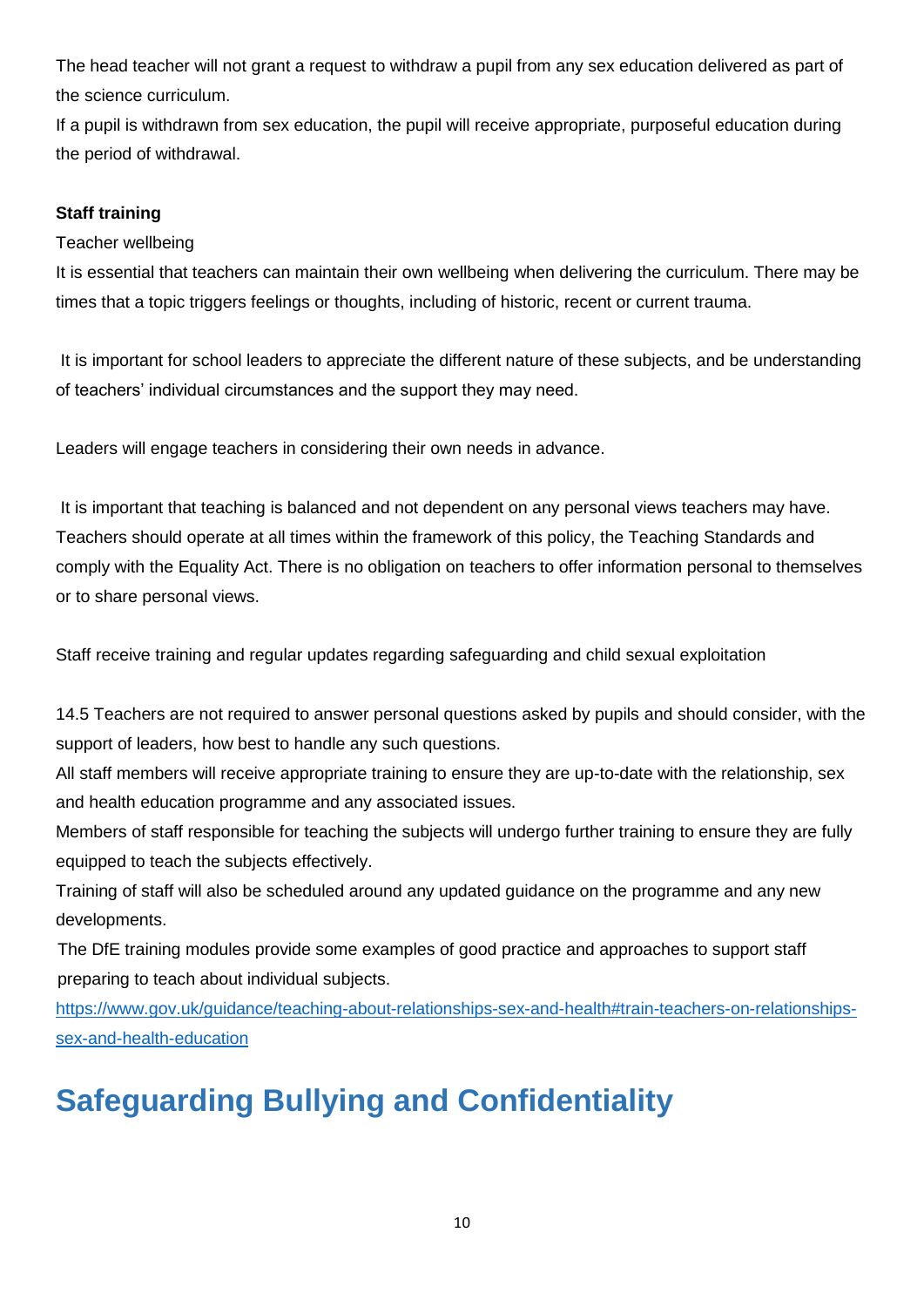The head teacher will not grant a request to withdraw a pupil from any sex education delivered as part of the science curriculum.

If a pupil is withdrawn from sex education, the pupil will receive appropriate, purposeful education during the period of withdrawal.

#### **Staff training**

Teacher wellbeing

It is essential that teachers can maintain their own wellbeing when delivering the curriculum. There may be times that a topic triggers feelings or thoughts, including of historic, recent or current trauma.

It is important for school leaders to appreciate the different nature of these subjects, and be understanding of teachers' individual circumstances and the support they may need.

Leaders will engage teachers in considering their own needs in advance.

It is important that teaching is balanced and not dependent on any personal views teachers may have. Teachers should operate at all times within the framework of this policy, the Teaching Standards and comply with the Equality Act. There is no obligation on teachers to offer information personal to themselves or to share personal views.

Staff receive training and regular updates regarding safeguarding and child sexual exploitation

14.5 Teachers are not required to answer personal questions asked by pupils and should consider, with the support of leaders, how best to handle any such questions.

All staff members will receive appropriate training to ensure they are up-to-date with the relationship, sex and health education programme and any associated issues.

Members of staff responsible for teaching the subjects will undergo further training to ensure they are fully equipped to teach the subjects effectively.

Training of staff will also be scheduled around any updated guidance on the programme and any new developments.

The DfE training modules provide some examples of good practice and approaches to support staff preparing to teach about individual subjects.

[https://www.gov.uk/guidance/teaching-about-relationships-sex-and-health#train-teachers-on-relationships](https://www.gov.uk/guidance/teaching-about-relationships-sex-and-health#train-teachers-on-relationships-sex-and-health-education)[sex-and-health-education](https://www.gov.uk/guidance/teaching-about-relationships-sex-and-health#train-teachers-on-relationships-sex-and-health-education)

# <span id="page-9-0"></span>**Safeguarding Bullying and Confidentiality**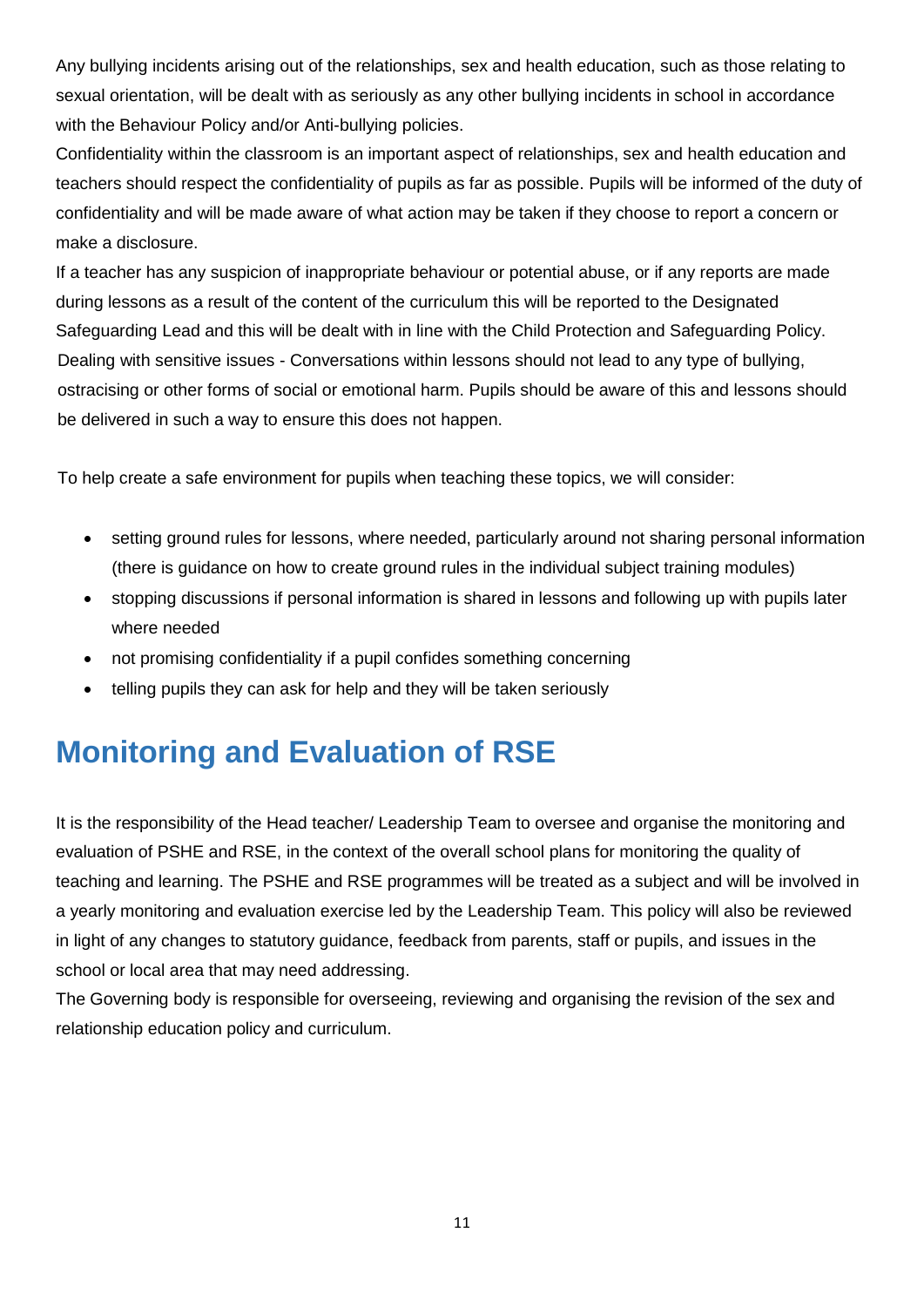Any bullying incidents arising out of the relationships, sex and health education, such as those relating to sexual orientation, will be dealt with as seriously as any other bullying incidents in school in accordance with the Behaviour Policy and/or Anti-bullying policies.

Confidentiality within the classroom is an important aspect of relationships, sex and health education and teachers should respect the confidentiality of pupils as far as possible. Pupils will be informed of the duty of confidentiality and will be made aware of what action may be taken if they choose to report a concern or make a disclosure.

If a teacher has any suspicion of inappropriate behaviour or potential abuse, or if any reports are made during lessons as a result of the content of the curriculum this will be reported to the Designated Safeguarding Lead and this will be dealt with in line with the Child Protection and Safeguarding Policy. Dealing with sensitive issues - Conversations within lessons should not lead to any type of bullying, ostracising or other forms of social or emotional harm. Pupils should be aware of this and lessons should be delivered in such a way to ensure this does not happen.

To help create a safe environment for pupils when teaching these topics, we will consider:

- setting ground rules for lessons, where needed, particularly around not sharing personal information (there is guidance on how to create ground rules in the individual subject training modules)
- stopping discussions if personal information is shared in lessons and following up with pupils later where needed
- not promising confidentiality if a pupil confides something concerning
- telling pupils they can ask for help and they will be taken seriously

### <span id="page-10-0"></span>**Monitoring and Evaluation of RSE**

It is the responsibility of the Head teacher/ Leadership Team to oversee and organise the monitoring and evaluation of PSHE and RSE, in the context of the overall school plans for monitoring the quality of teaching and learning. The PSHE and RSE programmes will be treated as a subject and will be involved in a yearly monitoring and evaluation exercise led by the Leadership Team. This policy will also be reviewed in light of any changes to statutory guidance, feedback from parents, staff or pupils, and issues in the school or local area that may need addressing.

The Governing body is responsible for overseeing, reviewing and organising the revision of the sex and relationship education policy and curriculum.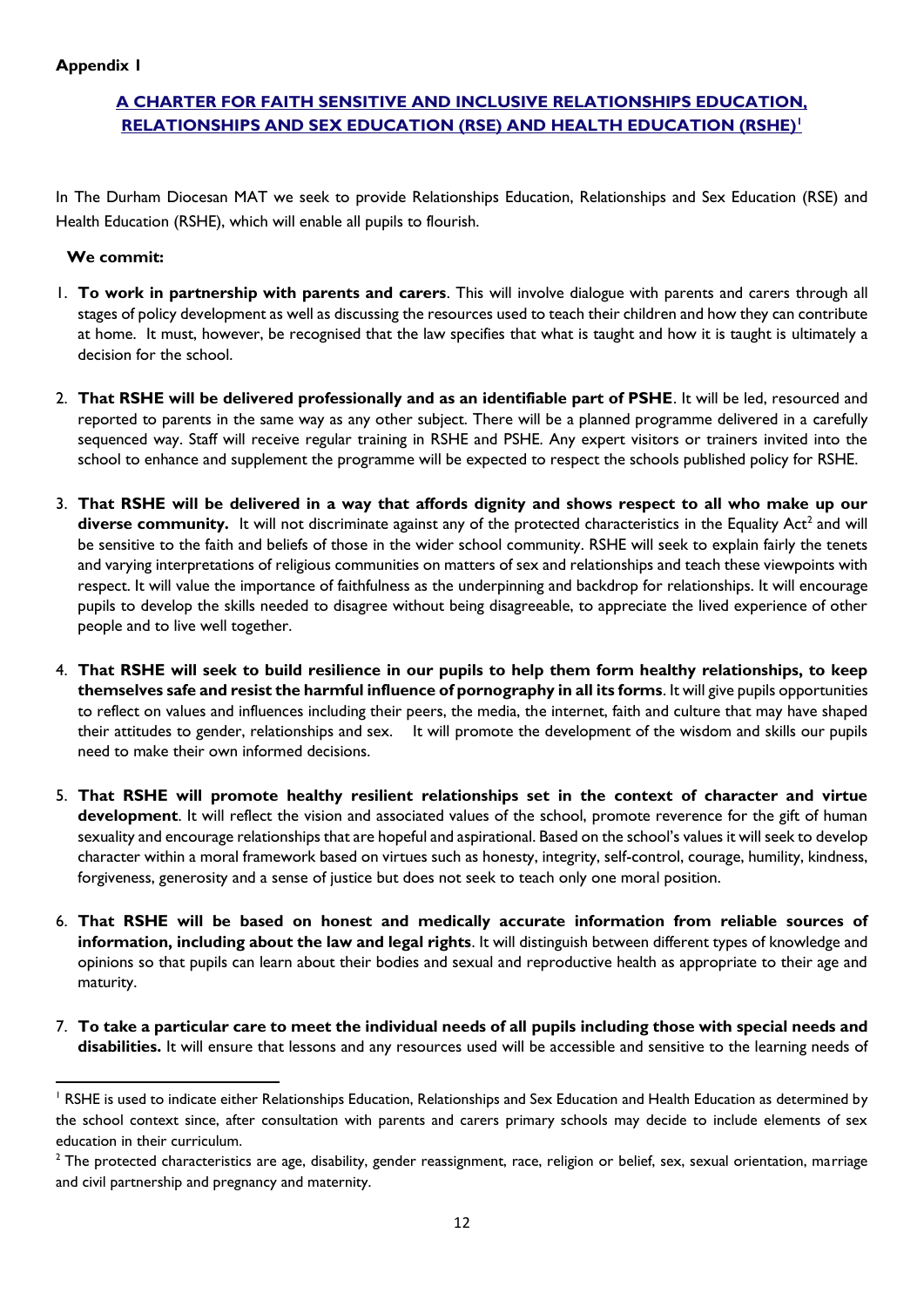#### **A CHARTER FOR FAITH SENSITIVE AND INCLUSIVE RELATIONSHIPS EDUCATION, RELATIONSHIPS AND SEX EDUCATION (RSE) AND HEALTH EDUCATION (RSHE)<sup>1</sup>**

In The Durham Diocesan MAT we seek to provide Relationships Education, Relationships and Sex Education (RSE) and Health Education (RSHE), which will enable all pupils to flourish.

#### **We commit:**

-

- 1. **To work in partnership with parents and carers**. This will involve dialogue with parents and carers through all stages of policy development as well as discussing the resources used to teach their children and how they can contribute at home. It must, however, be recognised that the law specifies that what is taught and how it is taught is ultimately a decision for the school.
- 2. **That RSHE will be delivered professionally and as an identifiable part of PSHE**. It will be led, resourced and reported to parents in the same way as any other subject. There will be a planned programme delivered in a carefully sequenced way. Staff will receive regular training in RSHE and PSHE. Any expert visitors or trainers invited into the school to enhance and supplement the programme will be expected to respect the schools published policy for RSHE.
- 3. **That RSHE will be delivered in a way that affords dignity and shows respect to all who make up our**  diverse community. It will not discriminate against any of the protected characteristics in the Equality Act<sup>2</sup> and will be sensitive to the faith and beliefs of those in the wider school community. RSHE will seek to explain fairly the tenets and varying interpretations of religious communities on matters of sex and relationships and teach these viewpoints with respect. It will value the importance of faithfulness as the underpinning and backdrop for relationships. It will encourage pupils to develop the skills needed to disagree without being disagreeable, to appreciate the lived experience of other people and to live well together.
- 4. **That RSHE will seek to build resilience in our pupils to help them form healthy relationships, to keep themselves safe and resist the harmful influence of pornography in all its forms**. It will give pupils opportunities to reflect on values and influences including their peers, the media, the internet, faith and culture that may have shaped their attitudes to gender, relationships and sex. It will promote the development of the wisdom and skills our pupils need to make their own informed decisions.
- 5. **That RSHE will promote healthy resilient relationships set in the context of character and virtue development**. It will reflect the vision and associated values of the school, promote reverence for the gift of human sexuality and encourage relationships that are hopeful and aspirational. Based on the school's values it will seek to develop character within a moral framework based on virtues such as honesty, integrity, self-control, courage, humility, kindness, forgiveness, generosity and a sense of justice but does not seek to teach only one moral position.
- 6. **That RSHE will be based on honest and medically accurate information from reliable sources of information, including about the law and legal rights**. It will distinguish between different types of knowledge and opinions so that pupils can learn about their bodies and sexual and reproductive health as appropriate to their age and maturity.
- 7. **To take a particular care to meet the individual needs of all pupils including those with special needs and disabilities.** It will ensure that lessons and any resources used will be accessible and sensitive to the learning needs of

<sup>&</sup>lt;sup>1</sup> RSHE is used to indicate either Relationships Education, Relationships and Sex Education and Health Education as determined by the school context since, after consultation with parents and carers primary schools may decide to include elements of sex education in their curriculum.

 $2$  The protected characteristics are age, disability, gender reassignment, race, religion or belief, sex, sexual orientation, marriage and civil partnership and pregnancy and maternity.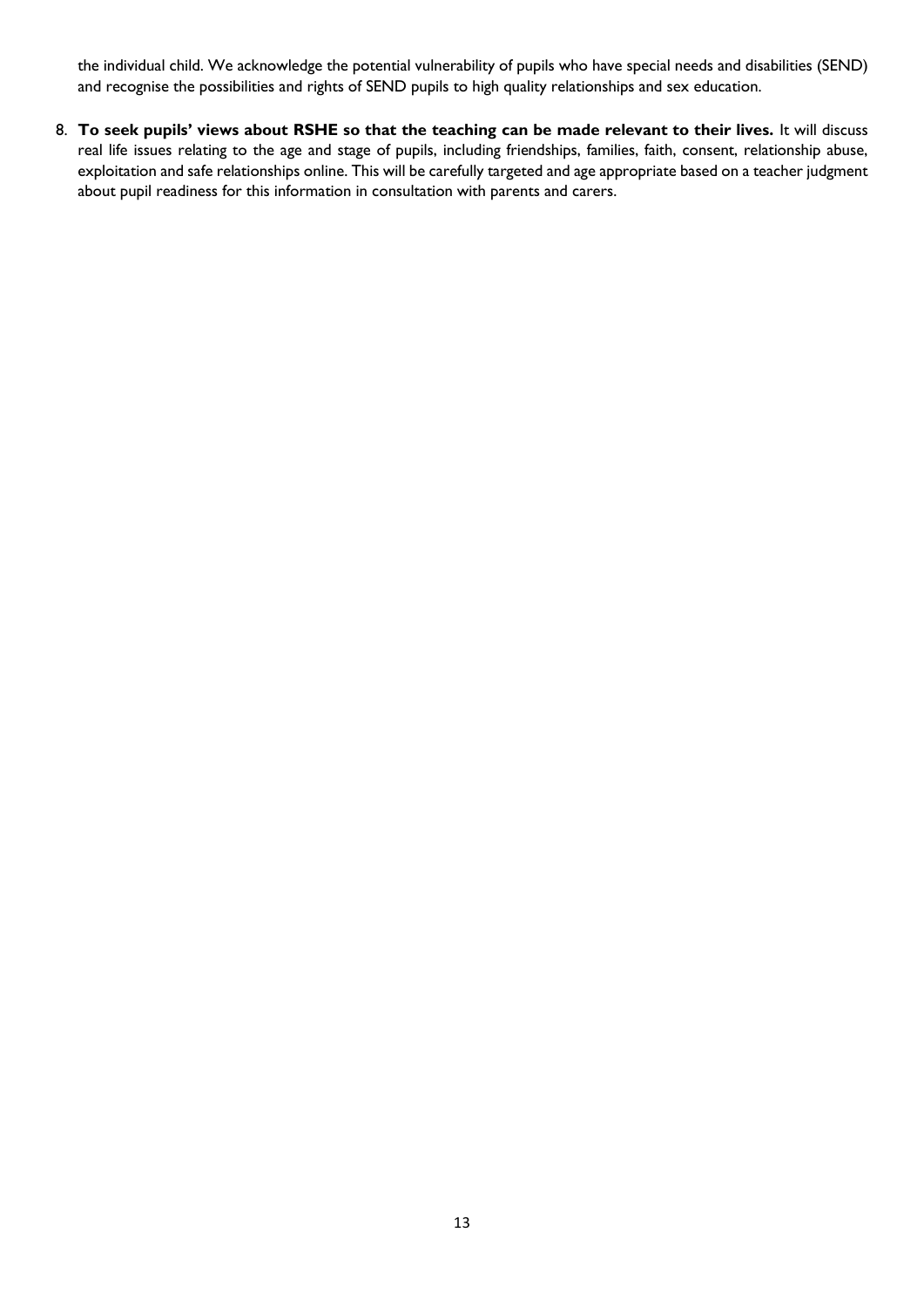the individual child. We acknowledge the potential vulnerability of pupils who have special needs and disabilities (SEND) and recognise the possibilities and rights of SEND pupils to high quality relationships and sex education.

8. To seek pupils' views about RSHE so that the teaching can be made relevant to their lives. It will discuss real life issues relating to the age and stage of pupils, including friendships, families, faith, consent, relationship abuse, exploitation and safe relationships online. This will be carefully targeted and age appropriate based on a teacher judgment about pupil readiness for this information in consultation with parents and carers.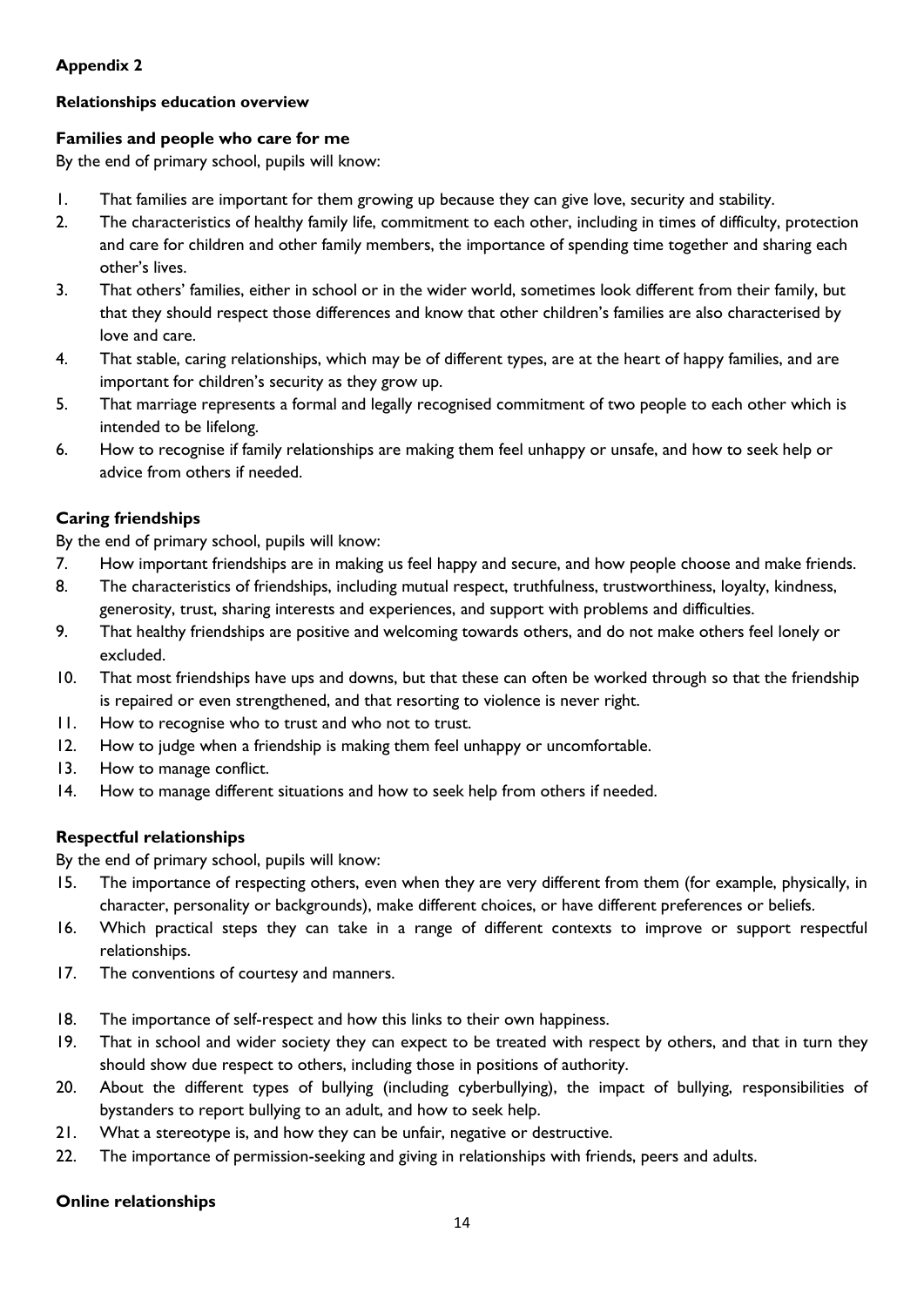#### **Relationships education overview**

#### **Families and people who care for me**

By the end of primary school, pupils will know:

- 1. That families are important for them growing up because they can give love, security and stability.
- 2. The characteristics of healthy family life, commitment to each other, including in times of difficulty, protection and care for children and other family members, the importance of spending time together and sharing each other's lives.
- 3. That others' families, either in school or in the wider world, sometimes look different from their family, but that they should respect those differences and know that other children's families are also characterised by love and care.
- 4. That stable, caring relationships, which may be of different types, are at the heart of happy families, and are important for children's security as they grow up.
- 5. That marriage represents a formal and legally recognised commitment of two people to each other which is intended to be lifelong.
- 6. How to recognise if family relationships are making them feel unhappy or unsafe, and how to seek help or advice from others if needed.

#### **Caring friendships**

By the end of primary school, pupils will know:

- 7. How important friendships are in making us feel happy and secure, and how people choose and make friends.
- 8. The characteristics of friendships, including mutual respect, truthfulness, trustworthiness, loyalty, kindness, generosity, trust, sharing interests and experiences, and support with problems and difficulties.
- 9. That healthy friendships are positive and welcoming towards others, and do not make others feel lonely or excluded.
- 10. That most friendships have ups and downs, but that these can often be worked through so that the friendship is repaired or even strengthened, and that resorting to violence is never right.
- 11. How to recognise who to trust and who not to trust.
- 12. How to judge when a friendship is making them feel unhappy or uncomfortable.
- 13. How to manage conflict.
- 14. How to manage different situations and how to seek help from others if needed.

#### **Respectful relationships**

By the end of primary school, pupils will know:

- 15. The importance of respecting others, even when they are very different from them (for example, physically, in character, personality or backgrounds), make different choices, or have different preferences or beliefs.
- 16. Which practical steps they can take in a range of different contexts to improve or support respectful relationships.
- 17. The conventions of courtesy and manners.
- 18. The importance of self-respect and how this links to their own happiness.
- 19. That in school and wider society they can expect to be treated with respect by others, and that in turn they should show due respect to others, including those in positions of authority.
- 20. About the different types of bullying (including cyberbullying), the impact of bullying, responsibilities of bystanders to report bullying to an adult, and how to seek help.
- 21. What a stereotype is, and how they can be unfair, negative or destructive.
- 22. The importance of permission-seeking and giving in relationships with friends, peers and adults.

#### **Online relationships**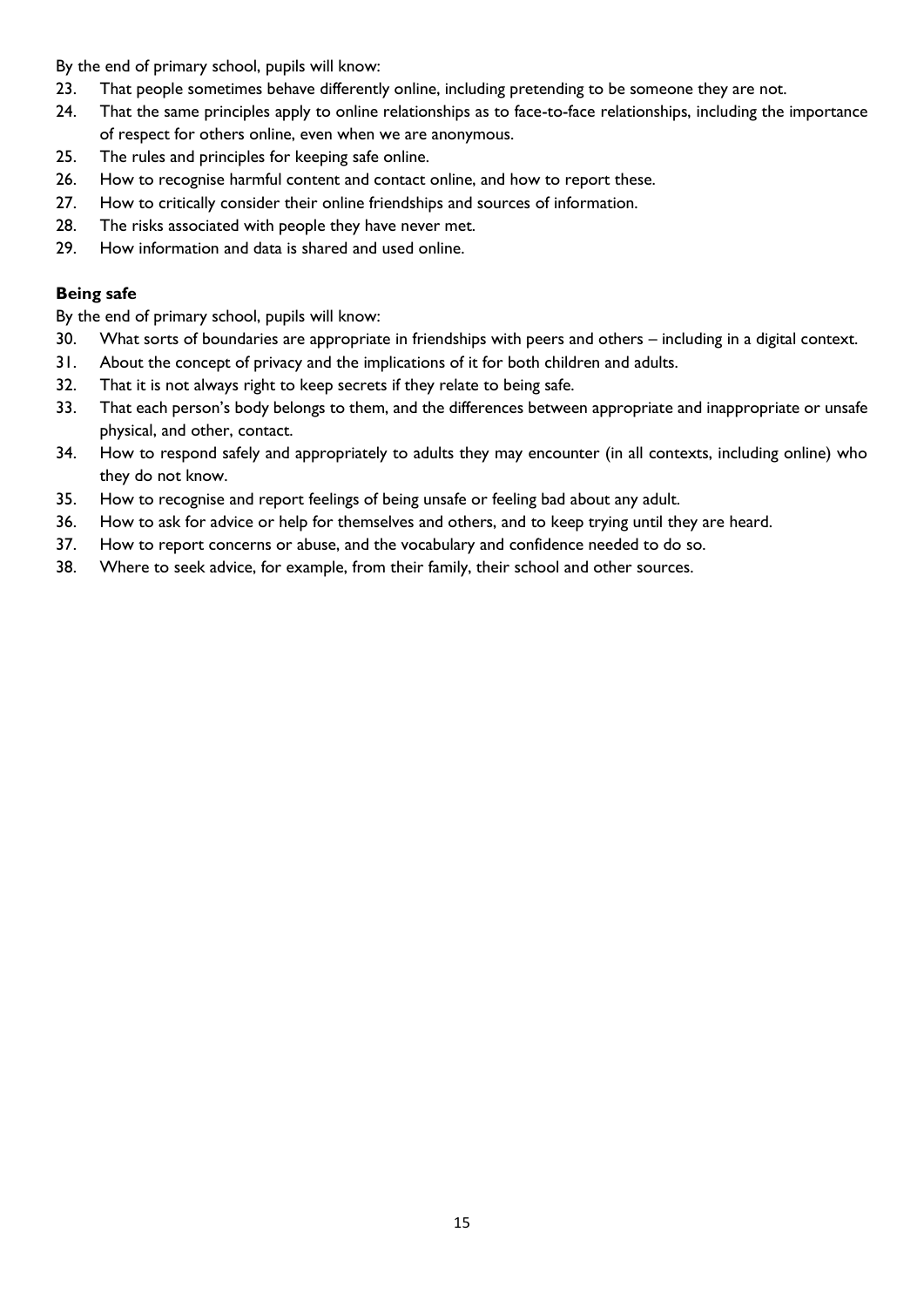By the end of primary school, pupils will know:

- 23. That people sometimes behave differently online, including pretending to be someone they are not.
- 24. That the same principles apply to online relationships as to face-to-face relationships, including the importance of respect for others online, even when we are anonymous.
- 25. The rules and principles for keeping safe online.
- 26. How to recognise harmful content and contact online, and how to report these.
- 27. How to critically consider their online friendships and sources of information.
- 28. The risks associated with people they have never met.
- 29. How information and data is shared and used online.

#### **Being safe**

By the end of primary school, pupils will know:

- 30. What sorts of boundaries are appropriate in friendships with peers and others including in a digital context.
- 31. About the concept of privacy and the implications of it for both children and adults.
- 32. That it is not always right to keep secrets if they relate to being safe.
- 33. That each person's body belongs to them, and the differences between appropriate and inappropriate or unsafe physical, and other, contact.
- 34. How to respond safely and appropriately to adults they may encounter (in all contexts, including online) who they do not know.
- 35. How to recognise and report feelings of being unsafe or feeling bad about any adult.
- 36. How to ask for advice or help for themselves and others, and to keep trying until they are heard.
- 37. How to report concerns or abuse, and the vocabulary and confidence needed to do so.
- 38. Where to seek advice, for example, from their family, their school and other sources.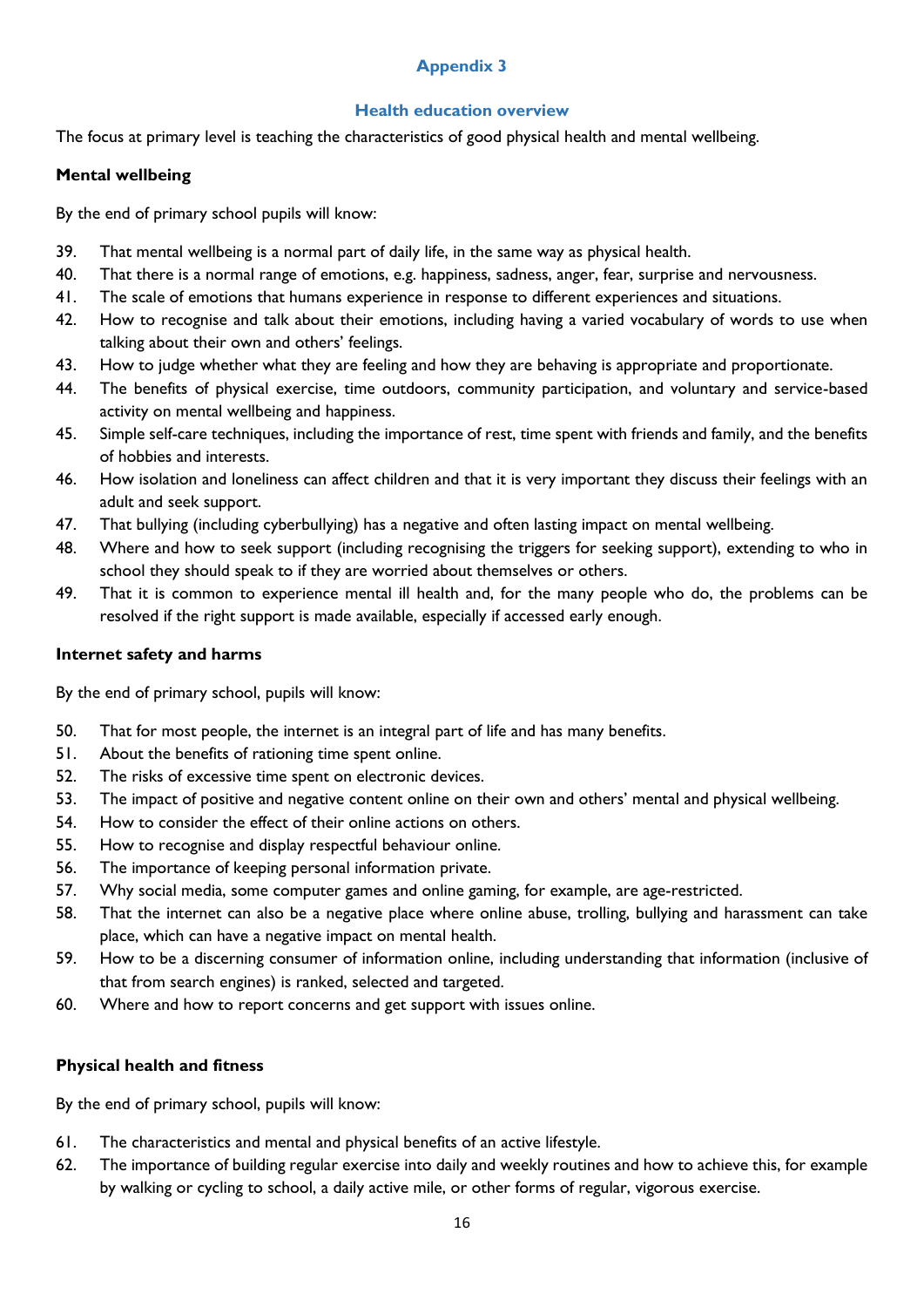#### **Health education overview**

The focus at primary level is teaching the characteristics of good physical health and mental wellbeing.

#### **Mental wellbeing**

By the end of primary school pupils will know:

- 39. That mental wellbeing is a normal part of daily life, in the same way as physical health.
- 40. That there is a normal range of emotions, e.g. happiness, sadness, anger, fear, surprise and nervousness.
- 41. The scale of emotions that humans experience in response to different experiences and situations.
- 42. How to recognise and talk about their emotions, including having a varied vocabulary of words to use when talking about their own and others' feelings.
- 43. How to judge whether what they are feeling and how they are behaving is appropriate and proportionate.
- 44. The benefits of physical exercise, time outdoors, community participation, and voluntary and service-based activity on mental wellbeing and happiness.
- 45. Simple self-care techniques, including the importance of rest, time spent with friends and family, and the benefits of hobbies and interests.
- 46. How isolation and loneliness can affect children and that it is very important they discuss their feelings with an adult and seek support.
- 47. That bullying (including cyberbullying) has a negative and often lasting impact on mental wellbeing.
- 48. Where and how to seek support (including recognising the triggers for seeking support), extending to who in school they should speak to if they are worried about themselves or others.
- 49. That it is common to experience mental ill health and, for the many people who do, the problems can be resolved if the right support is made available, especially if accessed early enough.

#### **Internet safety and harms**

By the end of primary school, pupils will know:

- 50. That for most people, the internet is an integral part of life and has many benefits.
- 51. About the benefits of rationing time spent online.
- 52. The risks of excessive time spent on electronic devices.
- 53. The impact of positive and negative content online on their own and others' mental and physical wellbeing.
- 54. How to consider the effect of their online actions on others.
- 55. How to recognise and display respectful behaviour online.
- 56. The importance of keeping personal information private.
- 57. Why social media, some computer games and online gaming, for example, are age-restricted.
- 58. That the internet can also be a negative place where online abuse, trolling, bullying and harassment can take place, which can have a negative impact on mental health.
- 59. How to be a discerning consumer of information online, including understanding that information (inclusive of that from search engines) is ranked, selected and targeted.
- 60. Where and how to report concerns and get support with issues online.

#### **Physical health and fitness**

By the end of primary school, pupils will know:

- 61. The characteristics and mental and physical benefits of an active lifestyle.
- 62. The importance of building regular exercise into daily and weekly routines and how to achieve this, for example by walking or cycling to school, a daily active mile, or other forms of regular, vigorous exercise.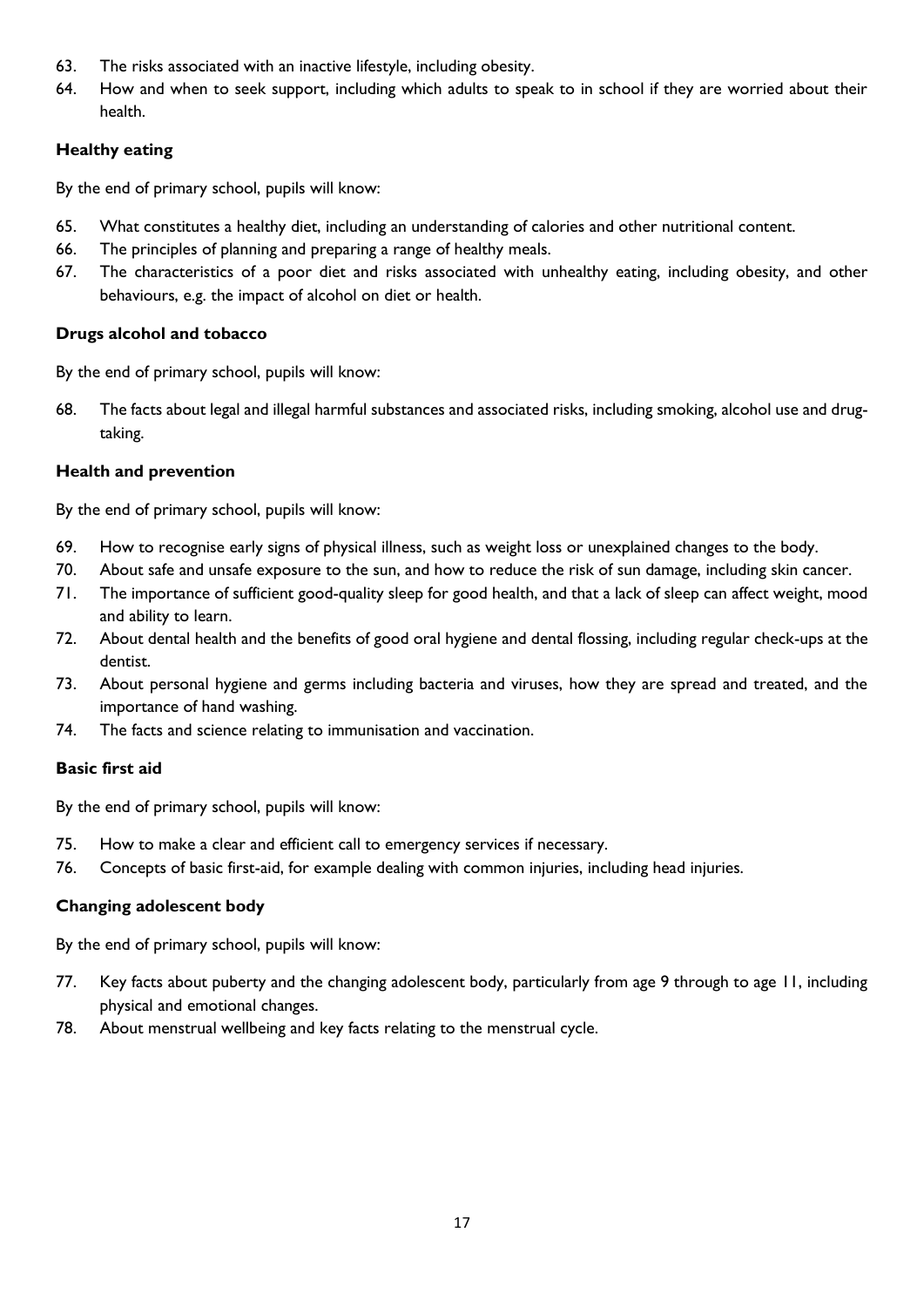- 63. The risks associated with an inactive lifestyle, including obesity.
- 64. How and when to seek support, including which adults to speak to in school if they are worried about their health.

#### **Healthy eating**

By the end of primary school, pupils will know:

- 65. What constitutes a healthy diet, including an understanding of calories and other nutritional content.
- 66. The principles of planning and preparing a range of healthy meals.
- 67. The characteristics of a poor diet and risks associated with unhealthy eating, including obesity, and other behaviours, e.g. the impact of alcohol on diet or health.

#### **Drugs alcohol and tobacco**

By the end of primary school, pupils will know:

68. The facts about legal and illegal harmful substances and associated risks, including smoking, alcohol use and drugtaking.

#### **Health and prevention**

By the end of primary school, pupils will know:

- 69. How to recognise early signs of physical illness, such as weight loss or unexplained changes to the body.
- 70. About safe and unsafe exposure to the sun, and how to reduce the risk of sun damage, including skin cancer.
- 71. The importance of sufficient good-quality sleep for good health, and that a lack of sleep can affect weight, mood and ability to learn.
- 72. About dental health and the benefits of good oral hygiene and dental flossing, including regular check-ups at the dentist.
- 73. About personal hygiene and germs including bacteria and viruses, how they are spread and treated, and the importance of hand washing.
- 74. The facts and science relating to immunisation and vaccination.

#### **Basic first aid**

By the end of primary school, pupils will know:

- 75. How to make a clear and efficient call to emergency services if necessary.
- 76. Concepts of basic first-aid, for example dealing with common injuries, including head injuries.

#### **Changing adolescent body**

By the end of primary school, pupils will know:

- 77. Key facts about puberty and the changing adolescent body, particularly from age 9 through to age 11, including physical and emotional changes.
- 78. About menstrual wellbeing and key facts relating to the menstrual cycle.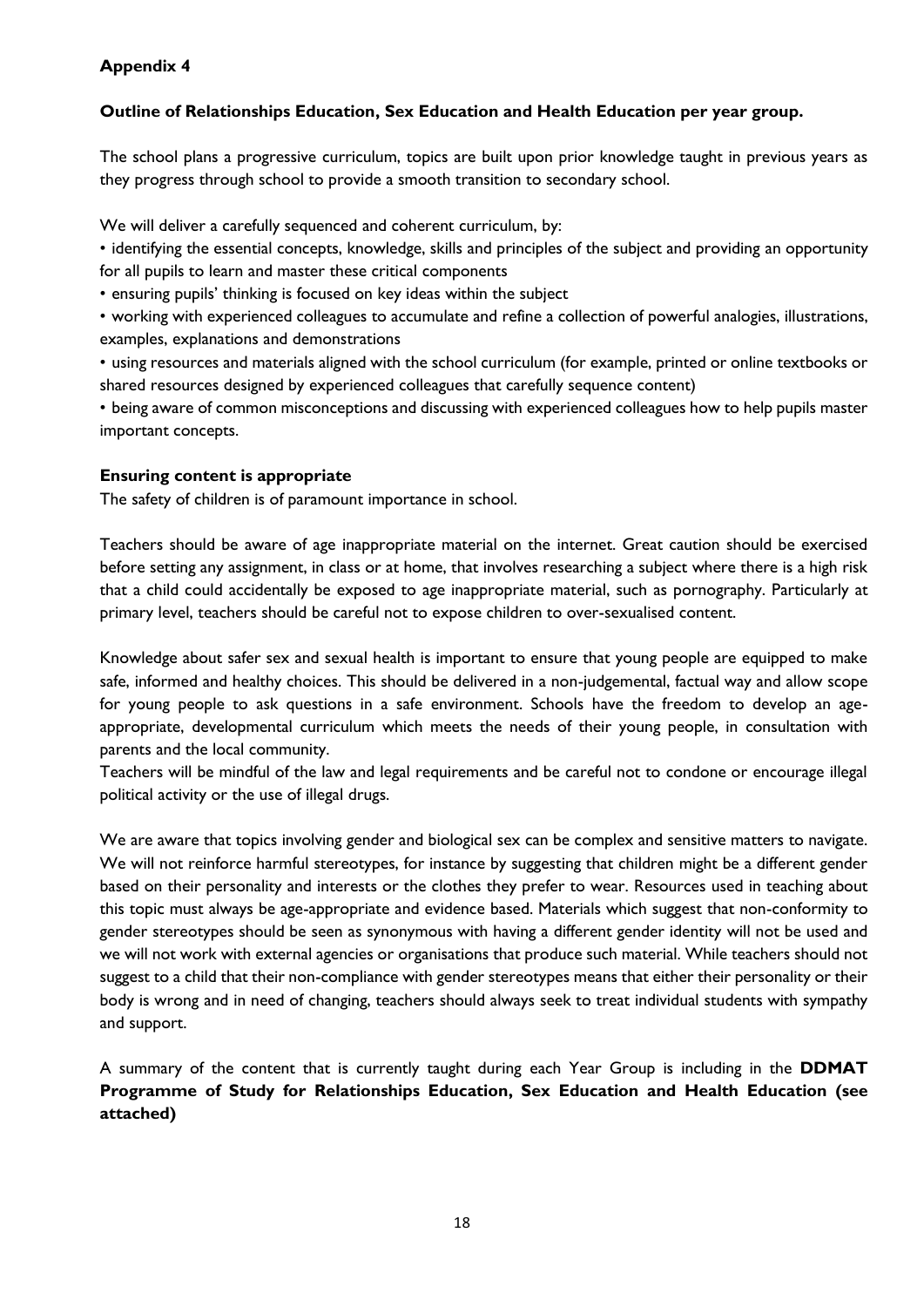#### **Outline of Relationships Education, Sex Education and Health Education per year group.**

The school plans a progressive curriculum, topics are built upon prior knowledge taught in previous years as they progress through school to provide a smooth transition to secondary school.

We will deliver a carefully sequenced and coherent curriculum, by:

• identifying the essential concepts, knowledge, skills and principles of the subject and providing an opportunity for all pupils to learn and master these critical components

• ensuring pupils' thinking is focused on key ideas within the subject

• working with experienced colleagues to accumulate and refine a collection of powerful analogies, illustrations, examples, explanations and demonstrations

• using resources and materials aligned with the school curriculum (for example, printed or online textbooks or shared resources designed by experienced colleagues that carefully sequence content)

• being aware of common misconceptions and discussing with experienced colleagues how to help pupils master important concepts.

#### **Ensuring content is appropriate**

The safety of children is of paramount importance in school.

Teachers should be aware of age inappropriate material on the internet. Great caution should be exercised before setting any assignment, in class or at home, that involves researching a subject where there is a high risk that a child could accidentally be exposed to age inappropriate material, such as pornography. Particularly at primary level, teachers should be careful not to expose children to over-sexualised content.

Knowledge about safer sex and sexual health is important to ensure that young people are equipped to make safe, informed and healthy choices. This should be delivered in a non-judgemental, factual way and allow scope for young people to ask questions in a safe environment. Schools have the freedom to develop an ageappropriate, developmental curriculum which meets the needs of their young people, in consultation with parents and the local community.

Teachers will be mindful of the law and legal requirements and be careful not to condone or encourage illegal political activity or the use of illegal drugs.

We are aware that topics involving gender and biological sex can be complex and sensitive matters to navigate. We will not reinforce harmful stereotypes, for instance by suggesting that children might be a different gender based on their personality and interests or the clothes they prefer to wear. Resources used in teaching about this topic must always be age-appropriate and evidence based. Materials which suggest that non-conformity to gender stereotypes should be seen as synonymous with having a different gender identity will not be used and we will not work with external agencies or organisations that produce such material. While teachers should not suggest to a child that their non-compliance with gender stereotypes means that either their personality or their body is wrong and in need of changing, teachers should always seek to treat individual students with sympathy and support.

A summary of the content that is currently taught during each Year Group is including in the **DDMAT Programme of Study for Relationships Education, Sex Education and Health Education (see attached)**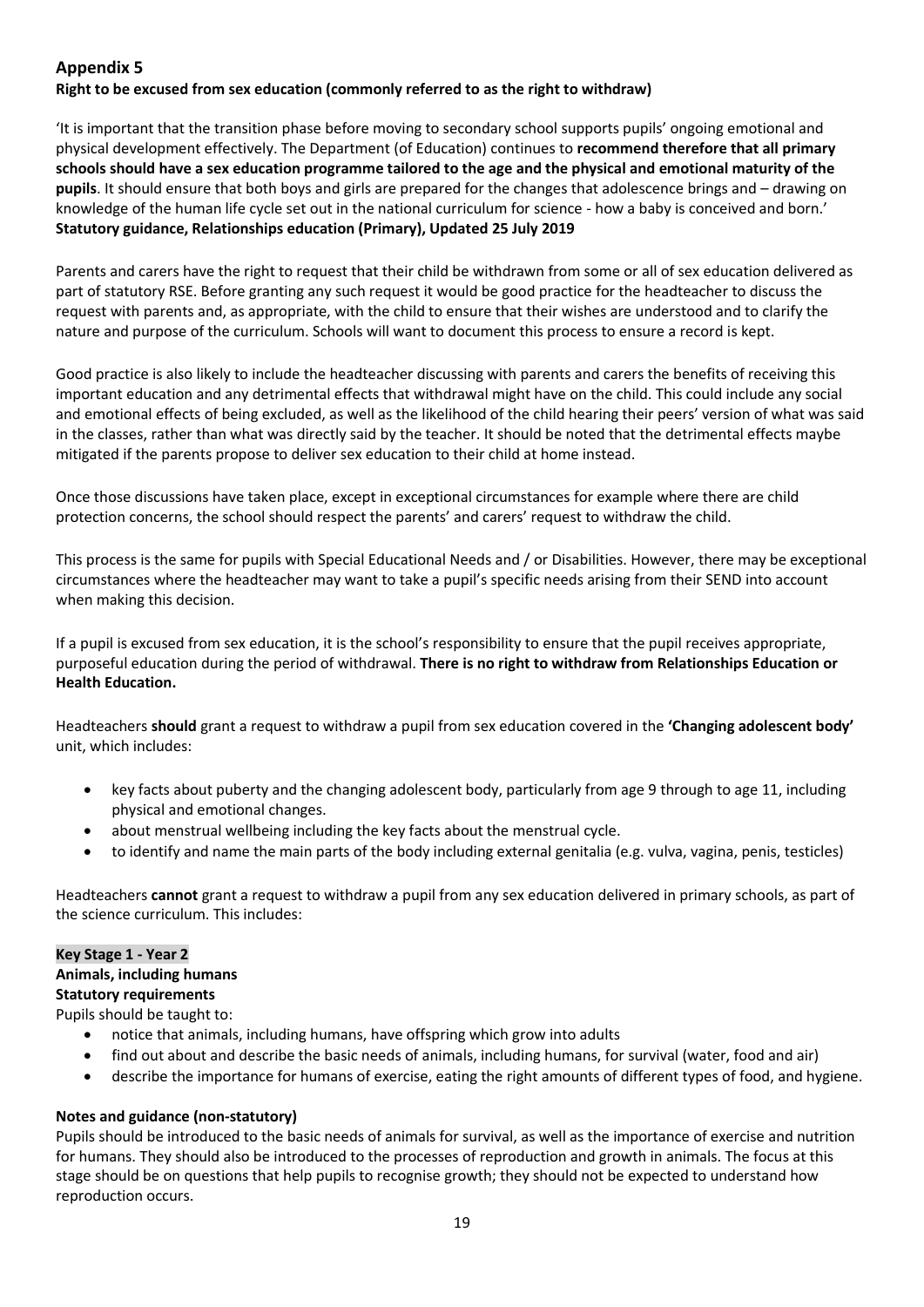#### **Right to be excused from sex education (commonly referred to as the right to withdraw)**

'It is important that the transition phase before moving to secondary school supports pupils' ongoing emotional and physical development effectively. The Department (of Education) continues to **recommend therefore that all primary schools should have a sex education programme tailored to the age and the physical and emotional maturity of the pupils**. It should ensure that both boys and girls are prepared for the changes that adolescence brings and – drawing on knowledge of the human life cycle set out in the national curriculum for science - how a baby is conceived and born.' **Statutory guidance, Relationships education (Primary), Updated 25 July 2019**

Parents and carers have the right to request that their child be withdrawn from some or all of sex education delivered as part of statutory RSE. Before granting any such request it would be good practice for the headteacher to discuss the request with parents and, as appropriate, with the child to ensure that their wishes are understood and to clarify the nature and purpose of the curriculum. Schools will want to document this process to ensure a record is kept.

Good practice is also likely to include the headteacher discussing with parents and carers the benefits of receiving this important education and any detrimental effects that withdrawal might have on the child. This could include any social and emotional effects of being excluded, as well as the likelihood of the child hearing their peers' version of what was said in the classes, rather than what was directly said by the teacher. It should be noted that the detrimental effects maybe mitigated if the parents propose to deliver sex education to their child at home instead.

Once those discussions have taken place, except in exceptional circumstances for example where there are child protection concerns, the school should respect the parents' and carers' request to withdraw the child.

This process is the same for pupils with Special Educational Needs and / or Disabilities. However, there may be exceptional circumstances where the headteacher may want to take a pupil's specific needs arising from their SEND into account when making this decision.

If a pupil is excused from sex education, it is the school's responsibility to ensure that the pupil receives appropriate, purposeful education during the period of withdrawal. **There is no right to withdraw from Relationships Education or Health Education.**

Headteachers **should** grant a request to withdraw a pupil from sex education covered in the **'Changing adolescent body'** unit, which includes:

- key facts about puberty and the changing adolescent body, particularly from age 9 through to age 11, including physical and emotional changes.
- about menstrual wellbeing including the key facts about the menstrual cycle.
- to identify and name the main parts of the body including external genitalia (e.g. vulva, vagina, penis, testicles)

Headteachers **cannot** grant a request to withdraw a pupil from any sex education delivered in primary schools, as part of the science curriculum. This includes:

#### **Key Stage 1 - Year 2**

#### **Animals, including humans**

**Statutory requirements**

Pupils should be taught to:

- notice that animals, including humans, have offspring which grow into adults
- find out about and describe the basic needs of animals, including humans, for survival (water, food and air)
- describe the importance for humans of exercise, eating the right amounts of different types of food, and hygiene.

#### **Notes and guidance (non-statutory)**

Pupils should be introduced to the basic needs of animals for survival, as well as the importance of exercise and nutrition for humans. They should also be introduced to the processes of reproduction and growth in animals. The focus at this stage should be on questions that help pupils to recognise growth; they should not be expected to understand how reproduction occurs.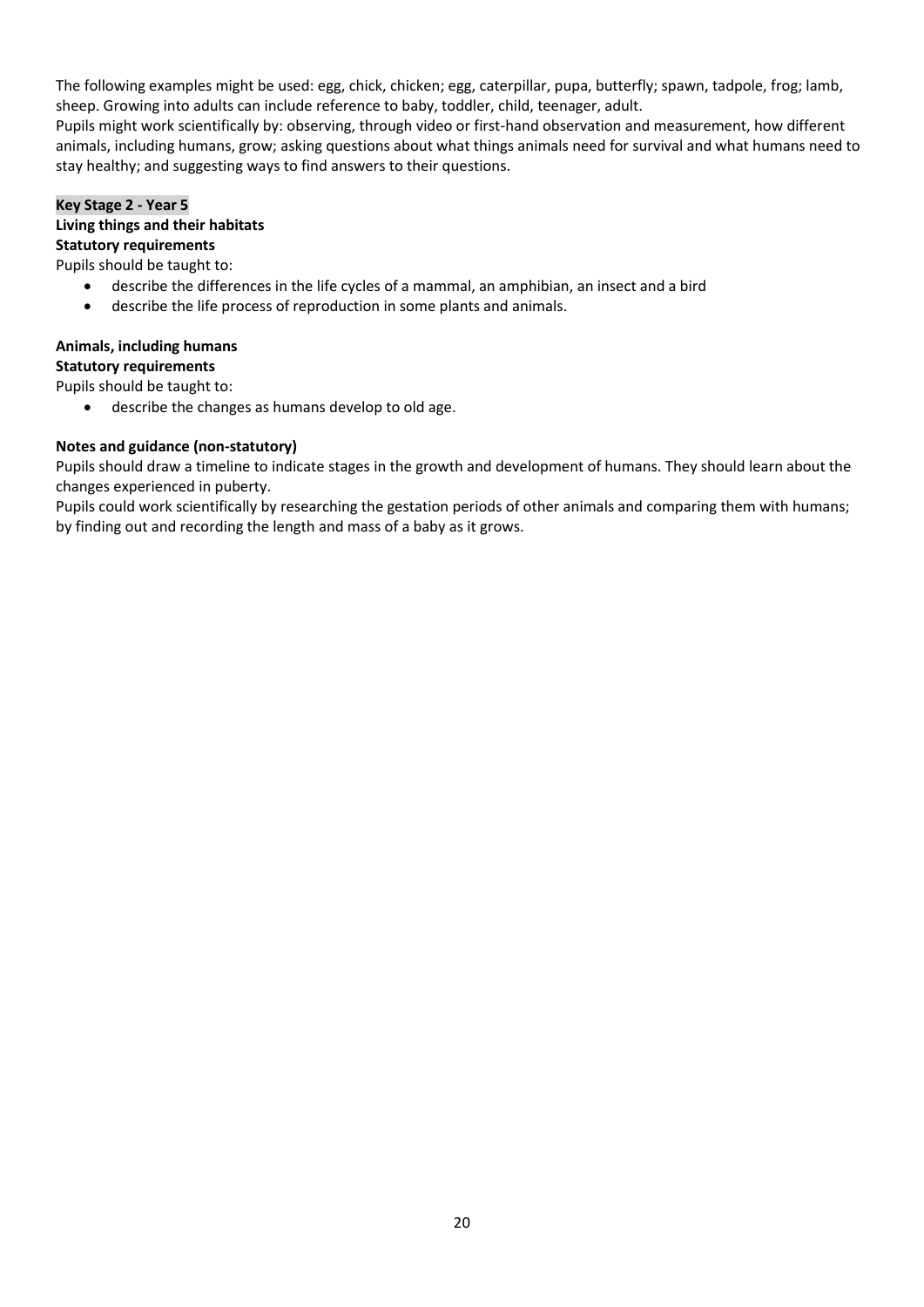The following examples might be used: egg, chick, chicken; egg, caterpillar, pupa, butterfly; spawn, tadpole, frog; lamb, sheep. Growing into adults can include reference to baby, toddler, child, teenager, adult.

Pupils might work scientifically by: observing, through video or first-hand observation and measurement, how different animals, including humans, grow; asking questions about what things animals need for survival and what humans need to stay healthy; and suggesting ways to find answers to their questions.

#### **Key Stage 2 - Year 5 Living things and their habitats**

#### **Statutory requirements**

#### Pupils should be taught to:

- describe the differences in the life cycles of a mammal, an amphibian, an insect and a bird
- describe the life process of reproduction in some plants and animals.

#### **Animals, including humans Statutory requirements**

Pupils should be taught to:

• describe the changes as humans develop to old age.

#### **Notes and guidance (non-statutory)**

Pupils should draw a timeline to indicate stages in the growth and development of humans. They should learn about the changes experienced in puberty.

Pupils could work scientifically by researching the gestation periods of other animals and comparing them with humans; by finding out and recording the length and mass of a baby as it grows.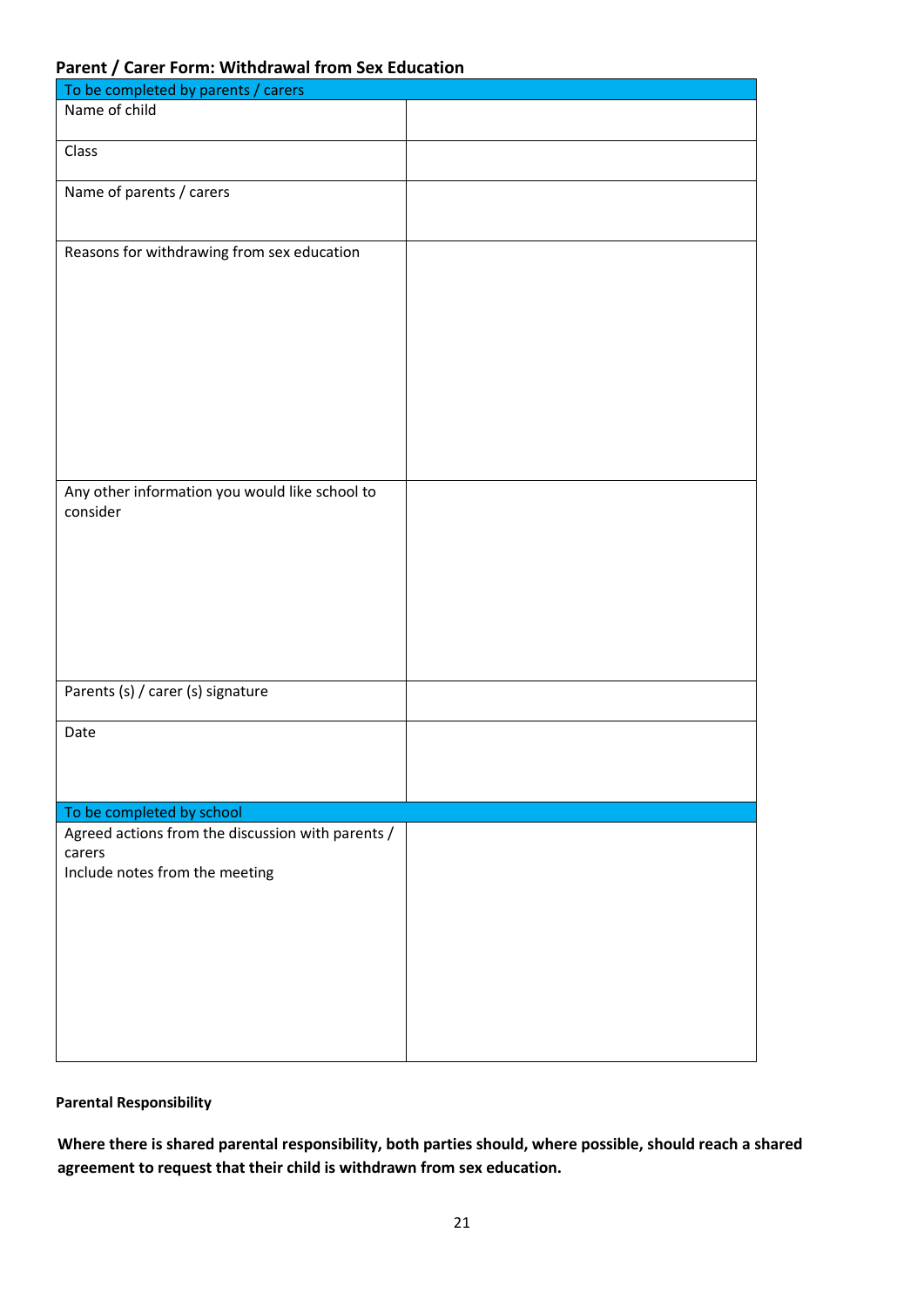#### **Parent / Carer Form: Withdrawal from Sex Education**

| To be completed by parents / carers                        |  |  |
|------------------------------------------------------------|--|--|
| Name of child                                              |  |  |
| Class                                                      |  |  |
| Name of parents / carers                                   |  |  |
| Reasons for withdrawing from sex education                 |  |  |
| Any other information you would like school to<br>consider |  |  |
| Parents (s) / carer (s) signature                          |  |  |
| Date                                                       |  |  |
| To be completed by school                                  |  |  |
| Agreed actions from the discussion with parents /          |  |  |
| carers                                                     |  |  |
| Include notes from the meeting                             |  |  |

#### **Parental Responsibility**

**Where there is shared parental responsibility, both parties should, where possible, should reach a shared agreement to request that their child is withdrawn from sex education.**